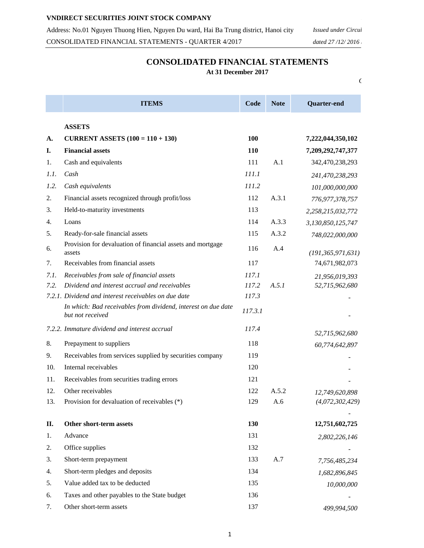## **CONSOLIDATED FINANCIAL STATEMENTS**

**At 31 December 2017**

*Currency: Vietnam dong*

|      | <b>ITEMS</b>                                                                      | Code    | <b>Note</b> | Quarter-end          |
|------|-----------------------------------------------------------------------------------|---------|-------------|----------------------|
|      | <b>ASSETS</b>                                                                     |         |             |                      |
| A.   | <b>CURRENT ASSETS</b> $(100 = 110 + 130)$                                         | 100     |             | 7,222,044,350,102    |
| I.   | <b>Financial assets</b>                                                           | 110     |             | 7,209,292,747,377    |
| 1.   | Cash and equivalents                                                              | 111     | A.1         | 342,470,238,293      |
| 1.1. | Cash                                                                              | 111.1   |             | 241,470,238,293      |
| 1.2. | Cash equivalents                                                                  | 111.2   |             | 101,000,000,000      |
| 2.   | Financial assets recognized through profit/loss                                   | 112     | A.3.1       | 776, 977, 378, 757   |
| 3.   | Held-to-maturity investments                                                      | 113     |             | 2,258,215,032,772    |
| 4.   | Loans                                                                             | 114     | A.3.3       | 3,130,850,125,747    |
| 5.   | Ready-for-sale financial assets                                                   | 115     | A.3.2       | 748,022,000,000      |
| 6.   | Provision for devaluation of financial assets and mortgage<br>assets              | 116     | A.4         | (191, 365, 971, 631) |
| 7.   | Receivables from financial assets                                                 | 117     |             | 74,671,982,073       |
| 7.1. | Receivables from sale of financial assets                                         | 117.1   |             | 21,956,019,393       |
| 7.2. | Dividend and interest accrual and receivables                                     | 117.2   | A.5.1       | 52,715,962,680       |
|      | 7.2.1. Dividend and interest receivables on due date                              | 117.3   |             |                      |
|      | In which: Bad receivables from dividend, interest on due date<br>but not received | 117.3.1 |             |                      |
|      | 7.2.2. Immature dividend and interest accrual                                     | 117.4   |             | 52,715,962,680       |
| 8.   | Prepayment to suppliers                                                           | 118     |             | 60,774,642,897       |
| 9.   | Receivables from services supplied by securities company                          | 119     |             |                      |
| 10.  | Internal receivables                                                              | 120     |             |                      |
| 11.  | Receivables from securities trading errors                                        | 121     |             |                      |
| 12.  | Other receivables                                                                 | 122     | A.5.2       | 12,749,620,898       |
| 13.  | Provision for devaluation of receivables (*)                                      | 129     | A.6         | (4,072,302,429)      |
|      |                                                                                   |         |             |                      |
| П.   | Other short-term assets                                                           | 130     |             | 12,751,602,725       |
| 1.   | Advance                                                                           | 131     |             | 2,802,226,146        |
| 2.   | Office supplies                                                                   | 132     |             |                      |
| 3.   | Short-term prepayment                                                             | 133     | A.7         | 7,756,485,234        |
| 4.   | Short-term pledges and deposits                                                   | 134     |             | 1,682,896,845        |
| 5.   | Value added tax to be deducted                                                    | 135     |             | 10,000,000           |
| 6.   | Taxes and other payables to the State budget                                      | 136     |             |                      |
| 7.   | Other short-term assets                                                           | 137     |             | 499.994,500          |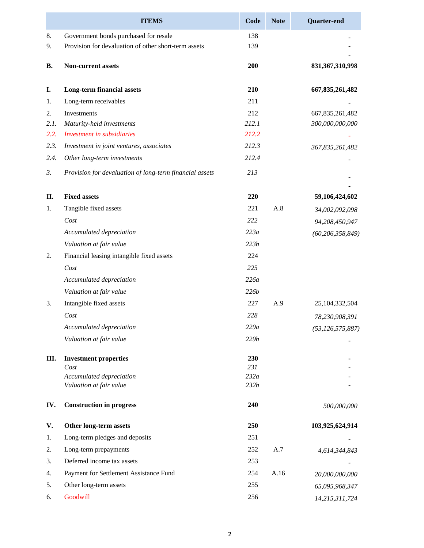|           | <b>ITEMS</b>                                            | Code         | <b>Note</b> | <b>Quarter-end</b>  |
|-----------|---------------------------------------------------------|--------------|-------------|---------------------|
| 8.        | Government bonds purchased for resale                   | 138          |             |                     |
| 9.        | Provision for devaluation of other short-term assets    | 139          |             |                     |
| <b>B.</b> | Non-current assets                                      | 200          |             | 831, 367, 310, 998  |
| I.        | <b>Long-term financial assets</b>                       | 210          |             | 667, 835, 261, 482  |
| 1.        | Long-term receivables                                   | 211          |             |                     |
| 2.        | Investments                                             | 212          |             | 667, 835, 261, 482  |
| 2.1.      | Maturity-held investments                               | 212.1        |             | 300,000,000,000     |
| 2.2.      | Investment in subsidiaries                              | 212.2        |             |                     |
| 2.3.      | Investment in joint ventures, associates                | 212.3        |             | 367,835,261,482     |
| 2.4.      | Other long-term investments                             | 212.4        |             |                     |
| 3.        | Provision for devaluation of long-term financial assets | 213          |             |                     |
| Π.        | <b>Fixed assets</b>                                     | 220          |             | 59,106,424,602      |
| 1.        | Tangible fixed assets                                   | 221          | A.8         | 34,002,092,098      |
|           | Cost                                                    | 222          |             | 94,208,450,947      |
|           | Accumulated depreciation                                | 223a         |             | (60, 206, 358, 849) |
|           | Valuation at fair value                                 | 223b         |             |                     |
| 2.        | Financial leasing intangible fixed assets               | 224          |             |                     |
|           | Cost                                                    | 225          |             |                     |
|           | Accumulated depreciation                                | 226a         |             |                     |
|           | Valuation at fair value                                 | 226 <i>b</i> |             |                     |
|           |                                                         |              |             |                     |
| 3.        | Intangible fixed assets                                 | 227          | A.9         | 25,104,332,504      |
|           | Cost                                                    | 228          |             | 78,230,908,391      |
|           | Accumulated depreciation                                | 229a         |             | (53, 126, 575, 887) |
|           | Valuation at fair value                                 | 229b         |             |                     |
| III.      | <b>Investment properties</b>                            | 230          |             |                     |
|           | Cost                                                    | 231          |             |                     |
|           | Accumulated depreciation<br>Valuation at fair value     | 232a<br>232b |             |                     |
|           |                                                         |              |             |                     |
| IV.       | <b>Construction in progress</b>                         | 240          |             | 500,000,000         |
| V.        | Other long-term assets                                  | 250          |             | 103,925,624,914     |
| 1.        | Long-term pledges and deposits                          | 251          |             |                     |
| 2.        | Long-term prepayments                                   | 252          | A.7         | 4,614,344,843       |
| 3.        | Deferred income tax assets                              | 253          |             |                     |
| 4.        | Payment for Settlement Assistance Fund                  | 254          | A.16        | 20,000,000,000      |
| 5.        | Other long-term assets                                  | 255          |             | 65,095,968,347      |
| 6.        | Goodwill                                                | 256          |             | 14,215,311,724      |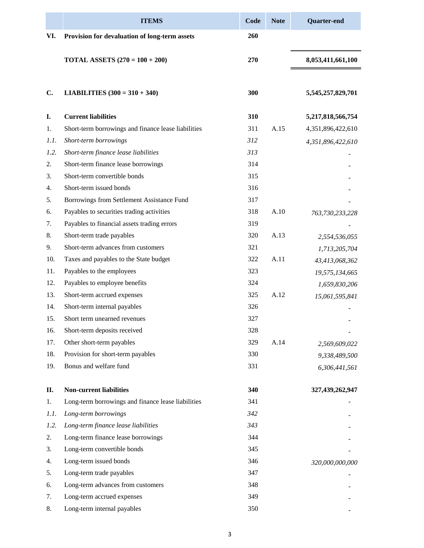|      | <b>ITEMS</b>                                        | Code | <b>Note</b> | <b>Quarter-end</b> |
|------|-----------------------------------------------------|------|-------------|--------------------|
| VI.  | Provision for devaluation of long-term assets       | 260  |             |                    |
|      | <b>TOTAL ASSETS</b> $(270 = 100 + 200)$             | 270  |             | 8,053,411,661,100  |
| C.   | <b>LIABILITIES</b> $(300 = 310 + 340)$              | 300  |             | 5,545,257,829,701  |
| I.   | <b>Current liabilities</b>                          | 310  |             | 5,217,818,566,754  |
| 1.   | Short-term borrowings and finance lease liabilities | 311  | A.15        | 4,351,896,422,610  |
| 1.1. | Short-term borrowings                               | 312  |             | 4,351,896,422,610  |
| 1.2. | Short-term finance lease liabilities                | 313  |             |                    |
| 2.   | Short-term finance lease borrowings                 | 314  |             |                    |
| 3.   | Short-term convertible bonds                        | 315  |             |                    |
| 4.   | Short-term issued bonds                             | 316  |             |                    |
| 5.   | Borrowings from Settlement Assistance Fund          | 317  |             |                    |
| 6.   | Payables to securities trading activities           | 318  | A.10        | 763,730,233,228    |
| 7.   | Payables to financial assets trading errors         | 319  |             |                    |
| 8.   | Short-term trade payables                           | 320  | A.13        | 2,554,536,055      |
| 9.   | Short-term advances from customers                  | 321  |             | 1,713,205,704      |
| 10.  | Taxes and payables to the State budget              | 322  | A.11        | 43,413,068,362     |
| 11.  | Payables to the employees                           | 323  |             | 19,575,134,665     |
| 12.  | Payables to employee benefits                       | 324  |             | 1,659,830,206      |
| 13.  | Short-term accrued expenses                         | 325  | A.12        | 15,061,595,841     |
| 14.  | Short-term internal payables                        | 326  |             |                    |
| 15.  | Short term unearned revenues                        | 327  |             |                    |
| 16.  | Short-term deposits received                        | 328  |             |                    |
| 17.  | Other short-term payables                           | 329  | A.14        | 2,569,609,022      |
| 18.  | Provision for short-term payables                   | 330  |             | 9,338,489,500      |
| 19.  | Bonus and welfare fund                              | 331  |             | 6,306,441,561      |
| П.   | <b>Non-current liabilities</b>                      | 340  |             | 327,439,262,947    |
| 1.   | Long-term borrowings and finance lease liabilities  | 341  |             |                    |
| 1.1. | Long-term borrowings                                | 342  |             |                    |
| 1.2. | Long-term finance lease liabilities                 | 343  |             |                    |
| 2.   | Long-term finance lease borrowings                  | 344  |             |                    |
| 3.   | Long-term convertible bonds                         | 345  |             |                    |
| 4.   | Long-term issued bonds                              | 346  |             | 320,000,000,000    |
| 5.   | Long-term trade payables                            | 347  |             |                    |
| 6.   | Long-term advances from customers                   | 348  |             |                    |
| 7.   | Long-term accrued expenses                          | 349  |             |                    |
| 8.   | Long-term internal payables                         | 350  |             |                    |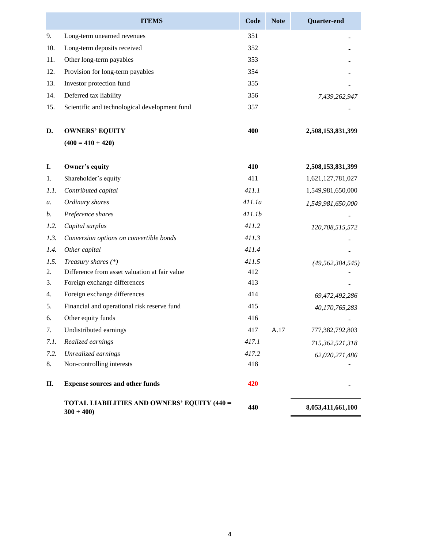|      | <b>ITEMS</b>                                                      | Code   | <b>Note</b> | <b>Quarter-end</b>  |
|------|-------------------------------------------------------------------|--------|-------------|---------------------|
| 9.   | Long-term unearned revenues                                       | 351    |             |                     |
| 10.  | Long-term deposits received                                       | 352    |             |                     |
| 11.  | Other long-term payables                                          | 353    |             |                     |
| 12.  | Provision for long-term payables                                  | 354    |             |                     |
| 13.  | Investor protection fund                                          | 355    |             |                     |
| 14.  | Deferred tax liability                                            | 356    |             | 7,439,262,947       |
| 15.  | Scientific and technological development fund                     | 357    |             |                     |
| D.   | <b>OWNERS' EQUITY</b>                                             | 400    |             | 2,508,153,831,399   |
|      | $(400 = 410 + 420)$                                               |        |             |                     |
| I.   | Owner's equity                                                    | 410    |             | 2,508,153,831,399   |
| 1.   | Shareholder's equity                                              | 411    |             | 1,621,127,781,027   |
| 1.1. | Contributed capital                                               | 411.1  |             | 1,549,981,650,000   |
| a.   | Ordinary shares                                                   | 411.1a |             | 1,549,981,650,000   |
| b.   | Preference shares                                                 | 411.1b |             |                     |
| 1.2. | Capital surplus                                                   | 411.2  |             | 120,708,515,572     |
| 1.3. | Conversion options on convertible bonds                           | 411.3  |             |                     |
| 1.4. | Other capital                                                     | 411.4  |             |                     |
| 1.5. | Treasury shares $(*)$                                             | 411.5  |             | (49, 562, 384, 545) |
| 2.   | Difference from asset valuation at fair value                     | 412    |             |                     |
| 3.   | Foreign exchange differences                                      | 413    |             |                     |
| 4.   | Foreign exchange differences                                      | 414    |             | 69,472,492,286      |
| 5.   | Financial and operational risk reserve fund                       | 415    |             | 40,170,765,283      |
| 6.   | Other equity funds                                                | 416    |             |                     |
| 7.   | Undistributed earnings                                            | 417    | A.17        | 777,382,792,803     |
| 7.1. | Realized earnings                                                 | 417.1  |             | 715,362,521,318     |
| 7.2. | Unrealized earnings                                               | 417.2  |             | 62,020,271,486      |
| 8.   | Non-controlling interests                                         | 418    |             |                     |
| П.   | <b>Expense sources and other funds</b>                            | 420    |             |                     |
|      | <b>TOTAL LIABILITIES AND OWNERS' EQUITY (440 =</b><br>$300 + 400$ | 440    |             | 8,053,411,661,100   |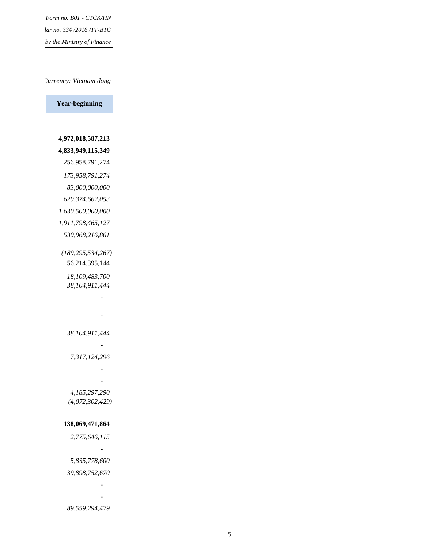*Issued under Circular no. 334 /2016 /TT-BTC* by the Ministry of Finance *Form no. B01 - CTCK/HN*

#### *Currency: Vietnam dong*

**Year-beginning**

 **4,972,018,587,213 4,833,949,115,349** 256,958,791,274  *173,958,791,274 83,000,000,000 629,374,662,053 1,630,500,000,000 1,911,798,465,127 530,968,216,861 (189,295,534,267)* 56,214,395,144  *18,109,483,700 38,104,911,444 - - 38,104,911,444 - 7,317,124,296 - - 4,185,297,290 (4,072,302,429)*  **138,069,471,864**  *2,775,646,115*

 *- 5,835,778,600 39,898,752,670 - -*

 *89,559,294,479*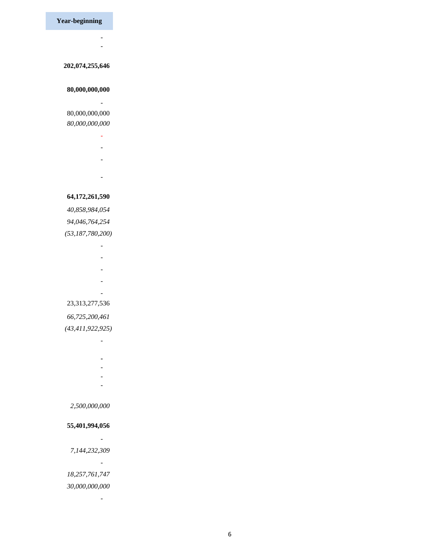**Year-beginning**

 *- -*

#### **202,074,255,646**

#### **80,000,000,000**

 *-*

## 80,000,000,000  *80,000,000,000*

- *-*
- *-*
- *-*
- *-*
	-

#### **64,172,261,590**

 *40,858,984,054 94,046,764,254 (53,187,780,200)*

- *-*
- *-*
- *-*
- *-*
- *-*

#### 23,313,277,536

### *66,725,200,461*

## *(43,411,922,925)*

- *-*
	-
- **-**  *-*
- *-*
- *-*

#### *2,500,000,000*

#### **55,401,994,056**

- *-*
- *7,144,232,309*

 *-*

 *-*

## *18,257,761,747*

#### *30,000,000,000*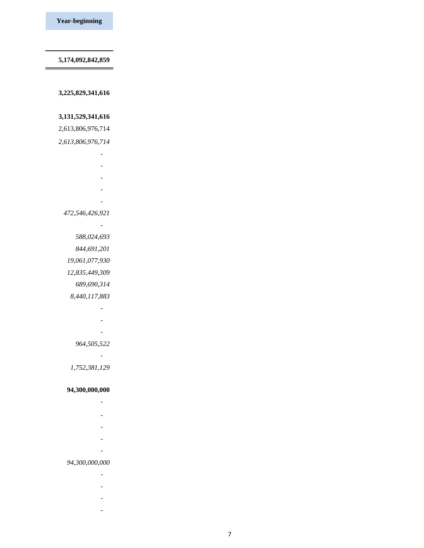**5,174,092,842,859**

 **3,225,829,341,616**

#### **3,131,529,341,616**

2,613,806,976,714

 *2,613,806,976,714*

 *-*

 *-*

 *-*

 *-*

 *-*

#### *472,546,426,921*

 *- 588,024,693*

 *844,691,201*

 *19,061,077,930*

 *12,835,449,309*

 *689,690,314*

 *8,440,117,883*

 *- - -*

 *964,505,522*

 *-*

 *1,752,381,129*

#### **94,300,000,000**

- 1990)<br>1990 Paul Barnett, politik eta politik eta politik eta politik eta politik eta politik eta politik eta poli<br>1990 Paul Barnett, politik eta politik eta politik eta politik eta politik eta politik eta politik eta
- *-*
- *-*
- *-*
	-
- *-*

#### *94,300,000,000*

- *-*
- *-*
	-
- *-*
- *-*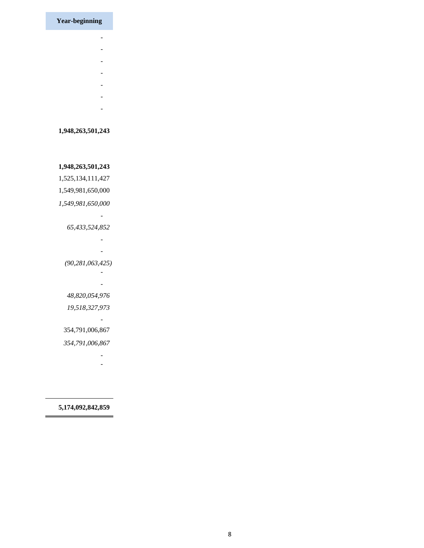**Year-beginning**

- *-*
- *-*
- *-*
	-
- *-*
- *-*
- *-*
- *-*

#### **1,948,263,501,243**

 **1,948,263,501,243** 1,525,134,111,427 1,549,981,650,000  *1,549,981,650,000 - 65,433,524,852 - - (90,281,063,425) - - 48,820,054,976 19,518,327,973 -* 354,791,006,867

 *354,791,006,867*

 *- -*

#### **5,174,092,842,859**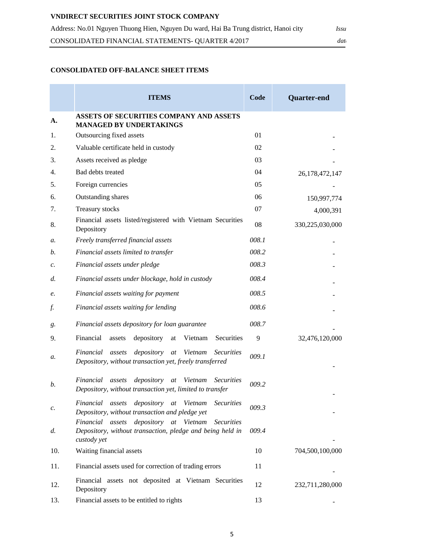## **VNDIRECT SECURITIES JOINT STOCK COMPANY**

| Address: No.01 Nguyen Thuong Hien, Nguyen Du ward, Hai Ba Trung district, Hanoi city | <i>Issu</i> |  |
|--------------------------------------------------------------------------------------|-------------|--|
| CONSOLIDATED FINANCIAL STATEMENTS- QUARTER 4/2017                                    | dat         |  |

## **CONSOLIDATED OFF-BALANCE SHEET ITEMS**

|                 | <b>ITEMS</b>                                                                                                                            | Code  | <b>Quarter-end</b> |
|-----------------|-----------------------------------------------------------------------------------------------------------------------------------------|-------|--------------------|
| A.              | ASSETS OF SECURITIES COMPANY AND ASSETS<br><b>MANAGED BY UNDERTAKINGS</b>                                                               |       |                    |
| 1.              | Outsourcing fixed assets                                                                                                                | 01    |                    |
| 2.              | Valuable certificate held in custody                                                                                                    | 02    |                    |
| 3.              | Assets received as pledge                                                                                                               | 03    |                    |
| 4.              | Bad debts treated                                                                                                                       | 04    | 26, 178, 472, 147  |
| 5.              | Foreign currencies                                                                                                                      | 05    |                    |
| 6.              | Outstanding shares                                                                                                                      | 06    | 150,997,774        |
| 7.              | <b>Treasury stocks</b>                                                                                                                  | 07    | 4,000,391          |
| 8.              | Financial assets listed/registered with Vietnam Securities<br>Depository                                                                | 08    | 330,225,030,000    |
| a.              | Freely transferred financial assets                                                                                                     | 008.1 |                    |
| b.              | Financial assets limited to transfer                                                                                                    | 008.2 |                    |
| $\mathcal{C}$ . | Financial assets under pledge                                                                                                           | 008.3 |                    |
| d.              | Financial assets under blockage, hold in custody                                                                                        | 008.4 |                    |
| e.              | Financial assets waiting for payment                                                                                                    | 008.5 |                    |
| f.              | Financial assets waiting for lending                                                                                                    | 008.6 |                    |
| g.              | Financial assets depository for loan guarantee                                                                                          | 008.7 |                    |
| 9.              | Securities<br>Financial<br>depository<br>Vietnam<br>assets<br>at                                                                        | 9     | 32,476,120,000     |
| a.              | depository<br>Financial<br>assets<br>$at\,$<br>Vietnam<br><b>Securities</b><br>Depository, without transaction yet, freely transferred  | 009.1 |                    |
| b.              | Vietnam<br>Financial<br>depository<br><b>Securities</b><br>assets<br>at<br>Depository, without transaction yet, limited to transfer     | 009.2 |                    |
| c.              | Financial assets depository at Vietnam<br><i>Securities</i><br>Depository, without transaction and pledge yet                           | 009.3 |                    |
| d.              | Financial assets depository at Vietnam<br><b>Securities</b><br>Depository, without transaction, pledge and being held in<br>custody yet | 009.4 |                    |
| 10.             | Waiting financial assets                                                                                                                | 10    | 704,500,100,000    |
| 11.             | Financial assets used for correction of trading errors                                                                                  | 11    |                    |
| 12.             | Financial assets not deposited at Vietnam Securities<br>Depository                                                                      | 12    | 232,711,280,000    |
| 13.             | Financial assets to be entitled to rights                                                                                               | 13    |                    |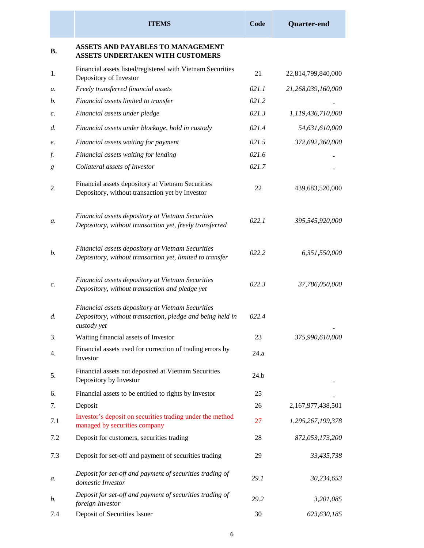|                 | <b>ITEMS</b>                                                                                                                  | Code  | <b>Quarter-end</b> |
|-----------------|-------------------------------------------------------------------------------------------------------------------------------|-------|--------------------|
| <b>B.</b>       | <b>ASSETS AND PAYABLES TO MANAGEMENT</b><br>ASSETS UNDERTAKEN WITH CUSTOMERS                                                  |       |                    |
| 1.              | Financial assets listed/registered with Vietnam Securities<br>Depository of Investor                                          | 21    | 22,814,799,840,000 |
| a.              | Freely transferred financial assets                                                                                           | 021.1 | 21,268,039,160,000 |
| b.              | Financial assets limited to transfer                                                                                          | 021.2 |                    |
| $\mathcal{C}$ . | Financial assets under pledge                                                                                                 | 021.3 | 1,119,436,710,000  |
| d.              | Financial assets under blockage, hold in custody                                                                              | 021.4 | 54,631,610,000     |
| e.              | Financial assets waiting for payment                                                                                          | 021.5 | 372,692,360,000    |
| f.              | Financial assets waiting for lending                                                                                          | 021.6 |                    |
| g               | Collateral assets of Investor                                                                                                 | 021.7 |                    |
| 2.              | Financial assets depository at Vietnam Securities<br>Depository, without transaction yet by Investor                          | 22    | 439,683,520,000    |
| a.              | Financial assets depository at Vietnam Securities<br>Depository, without transaction yet, freely transferred                  | 022.1 | 395,545,920,000    |
| b.              | Financial assets depository at Vietnam Securities<br>Depository, without transaction yet, limited to transfer                 | 022.2 | 6,351,550,000      |
| c.              | Financial assets depository at Vietnam Securities<br>Depository, without transaction and pledge yet                           | 022.3 | 37,786,050,000     |
| d.              | Financial assets depository at Vietnam Securities<br>Depository, without transaction, pledge and being held in<br>custody yet | 022.4 |                    |
| 3.              | Waiting financial assets of Investor                                                                                          | 23    | 375,990,610,000    |
| 4.              | Financial assets used for correction of trading errors by<br>Investor                                                         | 24.a  |                    |
| 5.              | Financial assets not deposited at Vietnam Securities<br>Depository by Investor                                                | 24.b  |                    |
| 6.              | Financial assets to be entitled to rights by Investor                                                                         | 25    |                    |
| 7.              | Deposit                                                                                                                       | 26    | 2,167,977,438,501  |
| 7.1             | Investor's deposit on securities trading under the method<br>managed by securities company                                    | 27    | 1,295,267,199,378  |
| 7.2             | Deposit for customers, securities trading                                                                                     | 28    | 872,053,173,200    |
| 7.3             | Deposit for set-off and payment of securities trading                                                                         | 29    | 33,435,738         |
| а.              | Deposit for set-off and payment of securities trading of<br>domestic Investor                                                 | 29.1  | 30,234,653         |
| b.              | Deposit for set-off and payment of securities trading of<br>foreign Investor                                                  | 29.2  | 3,201,085          |
| 7.4             | Deposit of Securities Issuer                                                                                                  | 30    | 623,630,185        |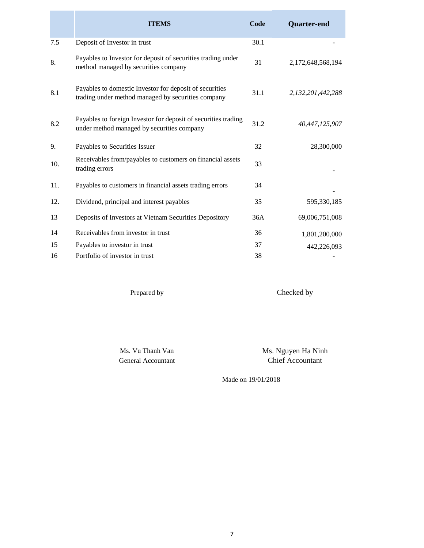|     | <b>ITEMS</b>                                                                                                  | Code | <b>Quarter-end</b> |
|-----|---------------------------------------------------------------------------------------------------------------|------|--------------------|
| 7.5 | Deposit of Investor in trust                                                                                  | 30.1 |                    |
| 8.  | Payables to Investor for deposit of securities trading under<br>method managed by securities company          | 31   | 2,172,648,568,194  |
| 8.1 | Payables to domestic Investor for deposit of securities<br>trading under method managed by securities company | 31.1 | 2,132,201,442,288  |
| 8.2 | Payables to foreign Investor for deposit of securities trading<br>under method managed by securities company  | 31.2 | 40,447,125,907     |
| 9.  | Payables to Securities Issuer                                                                                 | 32   | 28,300,000         |
| 10. | Receivables from/payables to customers on financial assets<br>trading errors                                  | 33   |                    |
| 11. | Payables to customers in financial assets trading errors                                                      | 34   |                    |
| 12. | Dividend, principal and interest payables                                                                     | 35   | 595,330,185        |
| 13  | Deposits of Investors at Vietnam Securities Depository                                                        | 36A  | 69,006,751,008     |
| 14  | Receivables from investor in trust                                                                            | 36   | 1,801,200,000      |
| 15  | Payables to investor in trust                                                                                 | 37   | 442,226,093        |
| 16  | Portfolio of investor in trust                                                                                | 38   |                    |

Prepared by

Checked by

Ms. Vu Thanh Van General Accountant Ms. Nguyen Ha Ninh Chief Accountant

Made on 19/01/2018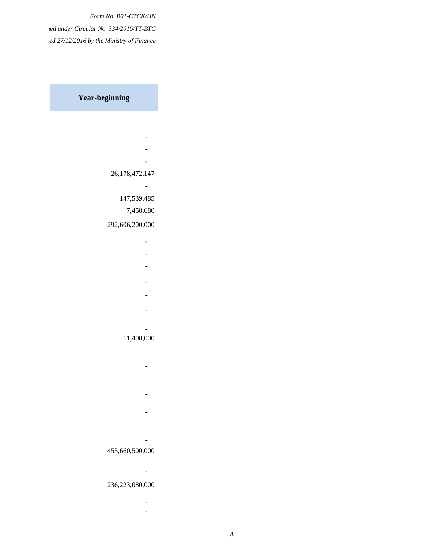*Form No. B01-CTCK/HN Issued under Circular No. 334/2016/TT-BTC* ed 27/12/2016 by the Ministry of Finance

**Year-beginning** 

- **All the Second Contract of Second Second - All the Second Second Second Second Second - All the Second Contract of Second Second**  26,178,472,147 **- All the Second Contract of Second Second**  147,539,485 7,458,680 292,606,200,000 **- All the Second Contract of Second Second** 
	-
- **All the Second Second Second Second Second**
- **All the Second Contract of Second Second** 
	-
- **All the Second Contract of Second Second**
- **All the Second Contract of Second Second**
- **All the Second Contract of Second Second** 
	-
- **All and All and All and All and All and All and All and All and All and All and All and All and All and All**

#### 11,400,000

- **All and All and All and All and All and All and All and All and All and All and All and All and All and All** 
	-
- **All and All and All and All and All and All and All and All and All and All and All and All and All and All**
- **All and All and All and All and All and All and All and All and All and All and All and All and All and All** 
	-
- **All the Second Contract of Second Second**

## 455,660,500,000

**- All and All and All and All and All and All and All and All and All and All and All and All and All and All** 

#### 236,223,080,000

**- All and All and All and All and All and All and All and All and All and All and All and All and All and All** -

8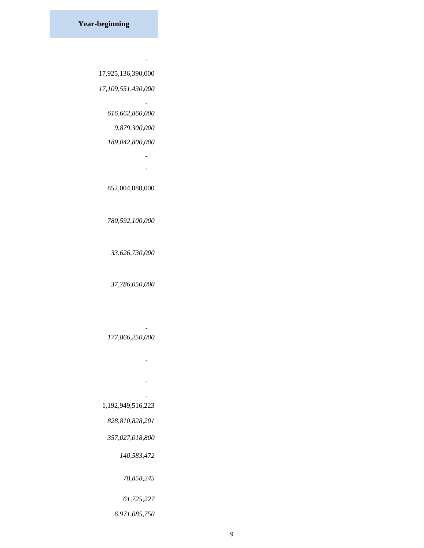**- All and All and All and All and All and All and All and All and All and All and All and All and All and All** 

 *-*

17,925,136,390,000

 *17,109,551,430,000*

 *616,662,860,000*

 *9,879,300,000*

#### *189,042,800,000*

 *- -*

852,004,880,000

#### *780,592,100,000*

 *33,626,730,000*

#### *37,786,050,000*

#### *177,866,250,000*

 *-*

**- All the Second Contract of Second Second** 

**- All the Second Contract of Second Second - All the Second Contract of Second Second** 

#### 1,192,949,516,223

 *828,810,828,201*

#### *357,027,018,800*

 *140,583,472*

 *78,858,245*

#### *61,725,227*

 *6,971,085,750*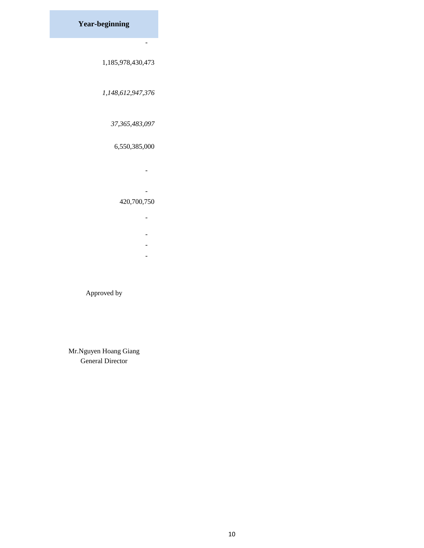**Year-beginning** 

 *-*

#### 1,185,978,430,473

 *1,148,612,947,376*

## *37,365,483,097*

## 6,550,385,000

**- All and All and All and All and All and All and All and All and All and All and All and All and All and All - All and All and All and All and All and All and All and All and All and All and All and All and All and All** 

### 420,700,750

- **All the Second Contract of Second Second**
- **All and All and All and All and All and All and All and All and All and All and All and All and All and All**
- **All and All and All and All and All and All and All and All and All and All and All and All and All and All**
- **All and All and All and All and All and All and All and All and All and All and All and All and All and All**

### Approved by

Mr.Nguyen Hoang Giang General Director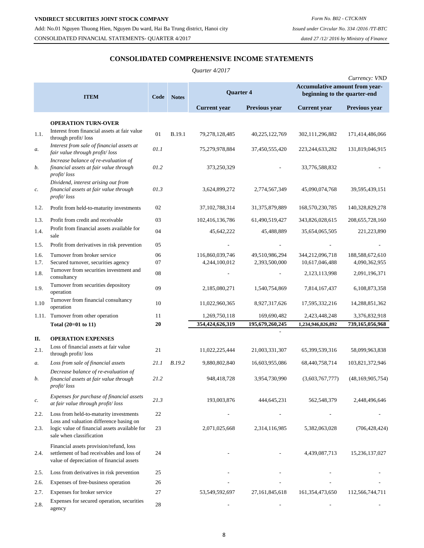#### **CONSOLIDATED COMPREHENSIVE INCOME STATEMENTS**

|                |                                                                                                                                   |          |               | Quarter 4/2017                   |                                 |                                   |                                  |
|----------------|-----------------------------------------------------------------------------------------------------------------------------------|----------|---------------|----------------------------------|---------------------------------|-----------------------------------|----------------------------------|
|                |                                                                                                                                   |          |               |                                  |                                 | Accumulative amount from year-    | Currency: VND                    |
|                | <b>ITEM</b>                                                                                                                       | Code     | <b>Notes</b>  | <b>Quarter 4</b>                 |                                 | beginning to the quarter-end      |                                  |
|                |                                                                                                                                   |          |               | <b>Current</b> year              | Previous year                   | <b>Current</b> year               | Previous year                    |
|                | <b>OPERATION TURN-OVER</b>                                                                                                        |          |               |                                  |                                 |                                   |                                  |
| 1.1.           | Interest from financial assets at fair value<br>through profit/loss                                                               | 01       | <b>B.19.1</b> | 79,278,128,485                   | 40,225,122,769                  | 302, 111, 296, 882                | 171,414,486,066                  |
| а.             | Interest from sale of financial assets at<br>fair value through profit/loss                                                       | 01.1     |               | 75,279,978,884                   | 37,450,555,420                  | 223, 244, 633, 282                | 131,819,046,915                  |
| b.             | Increase balance of re-evaluation of<br>financial assets at fair value through<br>profit/loss                                     | 01.2     |               | 373,250,329                      |                                 | 33,776,588,832                    |                                  |
| $\mathcal{C}.$ | Dividend, interest arising out from<br>financial assets at fair value through<br>profit/loss                                      | 01.3     |               | 3,624,899,272                    | 2,774,567,349                   | 45,090,074,768                    | 39,595,439,151                   |
| 1.2.           | Profit from held-to-maturity investments                                                                                          | 02       |               | 37, 102, 788, 314                | 31, 375, 879, 889               | 168,570,230,785                   | 140,328,829,278                  |
| 1.3.           | Profit from credit and receivable                                                                                                 | 03       |               | 102,416,136,786                  | 61,490,519,427                  | 343,826,028,615                   | 208, 655, 728, 160               |
| 1.4.           | Profit from financial assets available for<br>sale                                                                                | 04       |               | 45,642,222                       | 45,488,889                      | 35,654,065,505                    | 221,223,890                      |
| 1.5.           | Profit from derivatives in risk prevention                                                                                        | 05       |               |                                  |                                 |                                   |                                  |
| 1.6.<br>1.7.   | Turnover from broker service<br>Secured turnover, securities agency                                                               | 06<br>07 |               | 116,860,039,746<br>4,244,100,012 | 49,510,986,294<br>2,393,500,000 | 344,212,096,718<br>10,617,046,488 | 188,588,672,610<br>4,090,362,955 |
| 1.8.           | Turnover from securities investment and                                                                                           | 08       |               |                                  |                                 | 2, 123, 113, 998                  | 2,091,196,371                    |
| 1.9.           | consultancy<br>Turnover from securities depository<br>operation                                                                   | 09       |               | 2,185,080,271                    | 1,540,754,869                   | 7,814,167,437                     | 6,108,873,358                    |
| 1.10           | Turnover from financial consultancy<br>operation                                                                                  | 10       |               | 11,022,960,365                   | 8,927,317,626                   | 17,595,332,216                    | 14,288,851,362                   |
|                | 1.11. Turnover from other operation                                                                                               | 11       |               | 1,269,750,118                    | 169,690,482                     | 2,423,448,248                     | 3,376,832,918                    |
|                | Total (20=01 to 11)                                                                                                               | 20       |               | 354,424,626,319                  | 195,679,260,245                 | 1,234,946,826,892                 | 739,165,056,968                  |
| П.             | <b>OPERATION EXPENSES</b>                                                                                                         |          |               |                                  |                                 |                                   |                                  |
| 2.1.           | Loss of financial assets at fair value<br>through profit/loss                                                                     | 21       |               | 11,022,225,444                   | 21,003,331,307                  | 65,399,539,316                    | 58,099,963,838                   |
| a.             | Loss from sale of financial assets                                                                                                | 21.1     | B.19.2        | 9,880,802,840                    | 16,603,955,086                  | 68,440,758,714                    | 103,821,372,946                  |
| b.             | Decrease balance of re-evaluation of<br>financial assets at fair value through<br>profit/loss                                     | 21.2     |               | 948,418,728                      | 3,954,730,990                   | (3,603,767,777)                   | (48, 169, 905, 754)              |
| $\mathcal{C}.$ | Expenses for purchase of financial assets<br>at fair value through profit/loss                                                    | 21.3     |               | 193,003,876                      | 444,645,231                     | 562, 548, 379                     | 2,448,496,646                    |
| 2.2.           | Loss from held-to-maturity investments                                                                                            | 22       |               |                                  |                                 |                                   |                                  |
| 2.3.           | Loss and valuation difference basing on<br>logic value of financial assets available for<br>sale when classification              | 23       |               | 2,071,025,668                    | 2,314,116,985                   | 5,382,063,028                     | (706, 428, 424)                  |
| 2.4.           | Financial assets provision/refund, loss<br>settlement of bad receivables and loss of<br>value of depreciation of financial assets | 24       |               |                                  |                                 | 4,439,087,713                     | 15,236,137,027                   |
| 2.5.           | Loss from derivatives in risk prevention                                                                                          | 25       |               |                                  |                                 |                                   |                                  |
| 2.6.           | Expenses of free-business operation                                                                                               | 26       |               |                                  |                                 |                                   |                                  |
| 2.7.           | Expenses for broker service                                                                                                       | 27       |               | 53,549,592,697                   | 27, 161, 845, 618               | 161,354,473,650                   | 112,566,744,711                  |
| 2.8.           | Expenses for secured operation, securities<br>agency                                                                              | 28       |               |                                  |                                 |                                   |                                  |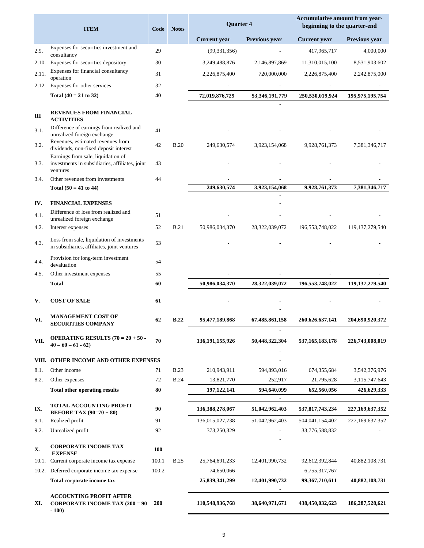|              | <b>ITEM</b>                                                                                      | Code     | <b>Notes</b>               | Quarter 4                 |                        | Accumulative amount from year-<br>beginning to the quarter-end |                                |
|--------------|--------------------------------------------------------------------------------------------------|----------|----------------------------|---------------------------|------------------------|----------------------------------------------------------------|--------------------------------|
|              |                                                                                                  |          |                            | <b>Current</b> year       | Previous year          | <b>Current</b> year                                            | Previous year                  |
| 2.9.         | Expenses for securities investment and<br>consultancy                                            | 29       |                            | (99, 331, 356)            |                        | 417,965,717                                                    | 4,000,000                      |
| 2.10.        | Expenses for securities depository                                                               | 30       |                            | 3,249,488,876             | 2,146,897,869          | 11,310,015,100                                                 | 8,531,903,602                  |
| 2.11.        | Expenses for financial consultancy                                                               | 31       |                            | 2,226,875,400             | 720,000,000            | 2,226,875,400                                                  | 2,242,875,000                  |
|              | operation<br>2.12. Expenses for other services                                                   | 32       |                            |                           |                        |                                                                |                                |
|              | Total $(40 = 21$ to 32)                                                                          | 40       |                            | 72,019,876,729            | 53,346,191,779         | 250,530,019,924                                                | 195, 975, 195, 754             |
| Ш            | <b>REVENUES FROM FINANCIAL</b><br><b>ACTIVITIES</b>                                              |          |                            |                           |                        |                                                                |                                |
| 3.1.         | Difference of earnings from realized and<br>unrealized foreign exchange                          | 41       |                            |                           |                        |                                                                |                                |
| 3.2.         | Revenues, estimated revenues from<br>dividends, non-fixed deposit interest                       | 42       | <b>B.20</b>                | 249,630,574               | 3,923,154,068          | 9,928,761,373                                                  | 7,381,346,717                  |
| 3.3.         | Earnings from sale, liquidation of<br>investments in subsidiaries, affiliates, joint<br>ventures | 43       |                            |                           |                        |                                                                |                                |
| 3.4.         | Other revenues from investments                                                                  | 44       |                            |                           |                        |                                                                |                                |
|              | Total $(50 = 41$ to 44)                                                                          |          |                            | 249,630,574               | 3.923.154.068          | 9,928,761,373                                                  | 7,381,346,717                  |
| IV.          | <b>FINANCIAL EXPENSES</b>                                                                        |          |                            |                           |                        |                                                                |                                |
| 4.1.         | Difference of loss from realized and<br>unrealized foreign exchange                              | 51       |                            |                           |                        |                                                                |                                |
| 4.2.         | Interest expenses                                                                                | 52       | <b>B.21</b>                | 50,986,034,370            | 28,322,039,072         | 196, 553, 748, 022                                             | 119, 137, 279, 540             |
| 4.3.         | Loss from sale, liquidation of investments<br>in subsidiaries, affiliates, joint ventures        | 53       |                            |                           |                        |                                                                |                                |
| 4.4.         | Provision for long-term investment<br>devaluation                                                | 54       |                            |                           |                        |                                                                |                                |
| 4.5.         | Other investment expenses                                                                        | 55       |                            |                           |                        |                                                                |                                |
|              | <b>Total</b>                                                                                     | 60       |                            | 50,986,034,370            | 28,322,039,072         | 196,553,748,022                                                | 119, 137, 279, 540             |
| V.           | <b>COST OF SALE</b>                                                                              | 61       |                            |                           |                        |                                                                |                                |
| VI.          | <b>MANAGEMENT COST OF</b><br><b>SECURITIES COMPANY</b>                                           | 62       | <b>B.22</b>                | 95,477,189,868            | 67,485,861,158         | 260,626,637,141                                                | 204,690,920,372                |
| VII.         | <b>OPERATING RESULTS (70 = 20 + 50 -</b><br>$40 - 60 - 61 - 62$                                  | 70       |                            | 136, 191, 155, 926        | 50,448,322,304         | 537, 165, 183, 178                                             | 226,743,008,019                |
|              |                                                                                                  |          |                            |                           |                        |                                                                |                                |
|              | VIII. OTHER INCOME AND OTHER EXPENSES                                                            |          |                            |                           |                        |                                                                |                                |
| 8.1.<br>8.2. | Other income<br>Other expenses                                                                   | 71<br>72 | <b>B.23</b><br><b>B.24</b> | 210,943,911<br>13,821,770 | 594,893,016<br>252,917 | 674,355,684<br>21,795,628                                      | 3,542,376,976<br>3,115,747,643 |
|              | <b>Total other operating results</b>                                                             | 80       |                            | 197, 122, 141             | 594,640,099            | 652,560,056                                                    | 426,629,333                    |
|              |                                                                                                  |          |                            |                           |                        |                                                                |                                |
| IX.          | <b>TOTAL ACCOUNTING PROFIT</b><br><b>BEFORE TAX (90=70 + 80)</b>                                 | 90       |                            | 136, 388, 278, 067        | 51,042,962,403         | 537,817,743,234                                                | 227, 169, 637, 352             |
| 9.1.         | Realized profit                                                                                  | 91       |                            | 136,015,027,738           | 51,042,962,403         | 504,041,154,402                                                | 227, 169, 637, 352             |
| 9.2.         | Unrealized profit                                                                                | 92       |                            | 373,250,329               |                        | 33,776,588,832                                                 |                                |
| X.           | <b>CORPORATE INCOME TAX</b><br><b>EXPENSE</b>                                                    | 100      |                            |                           |                        |                                                                |                                |
| 10.1.        | Current corporate income tax expense                                                             | 100.1    | <b>B.25</b>                | 25,764,691,233            | 12,401,990,732         | 92,612,392,844                                                 | 40,882,108,731                 |
|              | 10.2. Deferred corporate income tax expense                                                      | 100.2    |                            | 74,650,066                |                        | 6,755,317,767                                                  |                                |
|              | Total corporate income tax                                                                       |          |                            | 25,839,341,299            | 12,401,990,732         | 99,367,710,611                                                 | 40,882,108,731                 |
| XI.          | <b>ACCOUNTING PROFIT AFTER</b><br><b>CORPORATE INCOME TAX (200 = 90</b><br>$-100)$               | 200      |                            | 110,548,936,768           | 38,640,971,671         | 438,450,032,623                                                | 186,287,528,621                |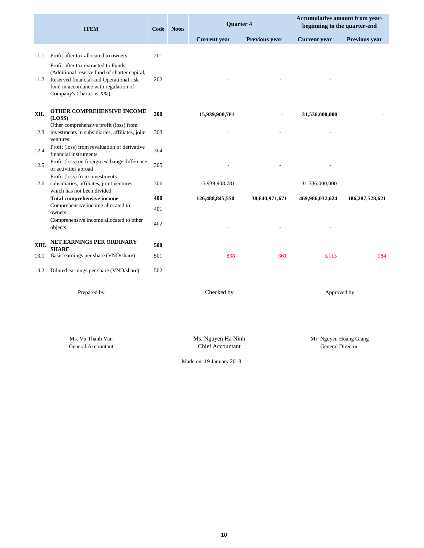|       | <b>ITEM</b>                                                                                                                                                                                               | Code<br><b>Notes</b> |  | <b>Ouarter 4</b>    |                      |                     |                      |  |  |  |  |  |  | Accumulative amount from year-<br>beginning to the quarter-end |  |  |
|-------|-----------------------------------------------------------------------------------------------------------------------------------------------------------------------------------------------------------|----------------------|--|---------------------|----------------------|---------------------|----------------------|--|--|--|--|--|--|----------------------------------------------------------------|--|--|
|       |                                                                                                                                                                                                           |                      |  | <b>Current</b> year | <b>Previous year</b> | <b>Current</b> year | <b>Previous year</b> |  |  |  |  |  |  |                                                                |  |  |
|       | 11.1. Profit after tax allocated to owners                                                                                                                                                                | 201                  |  |                     |                      |                     |                      |  |  |  |  |  |  |                                                                |  |  |
|       | Profit after tax extracted to Funds<br>(Additional reserve fund of charter capital,<br>11.2. Reserved financial and Operational risk<br>fund in accordance with regulation of<br>Company's Charter is X%) | 202                  |  |                     |                      |                     |                      |  |  |  |  |  |  |                                                                |  |  |
| XII.  | OTHER COMPREHENSIVE INCOME<br>(LOSS)                                                                                                                                                                      | 300                  |  | 15,939,908,781      |                      | 31,536,000,000      |                      |  |  |  |  |  |  |                                                                |  |  |
|       | Other comprehensive profit (loss) from<br>12.3. investments in subsidiaries, affiliates, joint<br>ventures                                                                                                | 303                  |  |                     |                      |                     |                      |  |  |  |  |  |  |                                                                |  |  |
| 12.4. | Profit (loss) from revaluation of derivative<br>financial instruments                                                                                                                                     | 304                  |  |                     |                      |                     |                      |  |  |  |  |  |  |                                                                |  |  |
| 12.5. | Profit (loss) on foreign exchange difference<br>of activities abroad                                                                                                                                      | 305                  |  |                     |                      |                     |                      |  |  |  |  |  |  |                                                                |  |  |
| 12.6. | Profit (loss) from investments<br>subsidiaries, affiliates, joint ventures<br>which has not been divided                                                                                                  | 306                  |  | 15,939,908,781      |                      | 31,536,000,000      |                      |  |  |  |  |  |  |                                                                |  |  |
|       | <b>Total comprehensive income</b>                                                                                                                                                                         | 400                  |  | 126,488,845,550     | 38,640,971,671       | 469,986,032,624     | 186,287,528,621      |  |  |  |  |  |  |                                                                |  |  |
|       | Comprehensive income allocated to<br>owners                                                                                                                                                               | 401                  |  |                     |                      |                     |                      |  |  |  |  |  |  |                                                                |  |  |
|       | Comprehensive income allocated to other<br>objects                                                                                                                                                        | 402                  |  |                     |                      |                     |                      |  |  |  |  |  |  |                                                                |  |  |
| XIII. | NET EARNINGS PER ORDINARY<br><b>SHARE</b>                                                                                                                                                                 | 500                  |  |                     |                      |                     |                      |  |  |  |  |  |  |                                                                |  |  |
| 13.1  | Basic earnings per share (VND/share)                                                                                                                                                                      | 501                  |  | 838                 | 361                  | 3,113               | 984                  |  |  |  |  |  |  |                                                                |  |  |
| 13.2  | Diluted earnings per share (VND/share)                                                                                                                                                                    | 502                  |  |                     |                      |                     |                      |  |  |  |  |  |  |                                                                |  |  |

Prepared by **Checked by Checked by Checked by Approved by Approved by** 

Ms. Vu Thanh Van

General Accountant Chief Accountant Ms. Nguyen Ha Ninh Mr. Nguyen Hoang Giang General Director

Made on 19 January 2018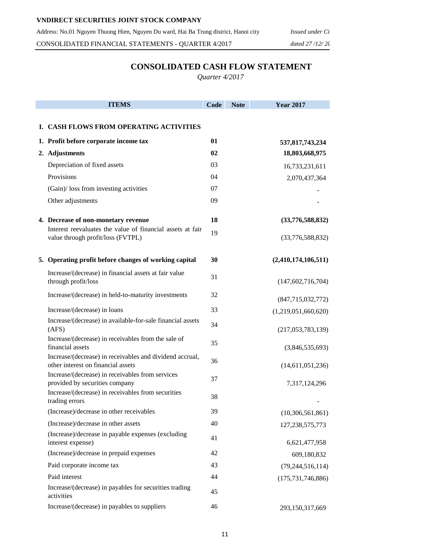CONSOLIDATED FINANCIAL STATEMENTS - QUARTER 4/2017 *dated 27 /12/ 2016* 

## **CONSOLIDATED CASH FLOW STATEMENT**

*Quarter 4/2017*

| <b>ITEMS</b>                                                                                    | Code | <b>Note</b> | <b>Year 2017</b>                  |
|-------------------------------------------------------------------------------------------------|------|-------------|-----------------------------------|
| I. CASH FLOWS FROM OPERATING ACTIVITIES                                                         |      |             |                                   |
| 1. Profit before corporate income tax                                                           | 01   |             |                                   |
| 2. Adjustments                                                                                  | 02   |             | 537,817,743,234<br>18,803,668,975 |
| Depreciation of fixed assets                                                                    | 03   |             | 16,733,231,611                    |
| Provisions                                                                                      | 04   |             | 2,070,437,364                     |
| (Gain)/ loss from investing activities                                                          | 07   |             |                                   |
| Other adjustments                                                                               | 09   |             |                                   |
|                                                                                                 |      |             |                                   |
| 4. Decrease of non-monetary revenue                                                             | 18   |             | (33,776,588,832)                  |
| Interest reevaluates the value of financial assets at fair<br>value through profit/loss (FVTPL) | 19   |             | (33,776,588,832)                  |
| 5. Operating profit before changes of working capital                                           | 30   |             | (2,410,174,106,511)               |
| Increase/(decrease) in financial assets at fair value<br>through profit/loss                    | 31   |             | (147, 602, 716, 704)              |
| Increase/(decrease) in held-to-maturity investments                                             | 32   |             | (847, 715, 032, 772)              |
| Increase/(decrease) in loans                                                                    | 33   |             | (1,219,051,660,620)               |
| Increase/(decrease) in available-for-sale financial assets<br>(AFS)                             | 34   |             | (217,053,783,139)                 |
| Increase/(decrease) in receivables from the sale of<br>financial assets                         | 35   |             | (3,846,535,693)                   |
| Increase/(decrease) in receivables and dividend accrual,<br>other interest on financial assets  | 36   |             | (14,611,051,236)                  |
| Increase/(decrease) in receivables from services<br>provided by securities company              | 37   |             | 7,317,124,296                     |
| Increase/(decrease) in receivables from securities<br>trading errors                            | 38   |             |                                   |
| (Increase)/decrease in other receivables                                                        | 39   |             | (10, 306, 561, 861)               |
| (Increase)/decrease in other assets                                                             | 40   |             | 127, 238, 575, 773                |
| (Increase)/decrease in payable expenses (excluding<br>interest expense)                         | 41   |             | 6,621,477,958                     |
| (Increase)/decrease in prepaid expenses                                                         | 42   |             | 609,180,832                       |
| Paid corporate income tax                                                                       | 43   |             | (79, 244, 516, 114)               |
| Paid interest                                                                                   | 44   |             | (175, 731, 746, 886)              |
| Increase/(decrease) in payables for securities trading<br>activities                            | 45   |             |                                   |
| Increase/(decrease) in payables to suppliers                                                    | 46   |             | 293,150,317,669                   |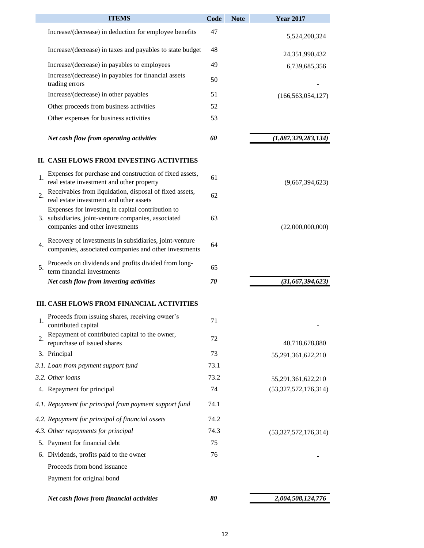|    | <b>ITEMS</b>                                                                                                                                 | Code | <b>Note</b> | <b>Year 2017</b>     |
|----|----------------------------------------------------------------------------------------------------------------------------------------------|------|-------------|----------------------|
|    | Increase/(decrease) in deduction for employee benefits                                                                                       | 47   |             | 5,524,200,324        |
|    | Increase/(decrease) in taxes and payables to state budget                                                                                    | 48   |             | 24,351,990,432       |
|    | Increase/(decrease) in payables to employees                                                                                                 | 49   |             | 6,739,685,356        |
|    | Increase/(decrease) in payables for financial assets<br>trading errors                                                                       | 50   |             |                      |
|    | Increase/(decrease) in other payables                                                                                                        | 51   |             | (166, 563, 054, 127) |
|    | Other proceeds from business activities                                                                                                      | 52   |             |                      |
|    | Other expenses for business activities                                                                                                       | 53   |             |                      |
|    | Net cash flow from operating activities                                                                                                      | 60   |             | (1,887,329,283,134)  |
|    | II. CASH FLOWS FROM INVESTING ACTIVITIES                                                                                                     |      |             |                      |
| 1. | Expenses for purchase and construction of fixed assets,<br>real estate investment and other property                                         | 61   |             | (9,667,394,623)      |
| 2. | Receivables from liquidation, disposal of fixed assets,<br>real estate investment and other assets                                           | 62   |             |                      |
|    | Expenses for investing in capital contribution to<br>3. subsidiaries, joint-venture companies, associated<br>companies and other investments | 63   |             | (22,000,000,000)     |
| 4. | Recovery of investments in subsidiaries, joint-venture<br>companies, associated companies and other investments                              | 64   |             |                      |
| 5. | Proceeds on dividends and profits divided from long-                                                                                         | 65   |             |                      |
|    | term financial investments<br>Net cash flow from investing activities                                                                        | 70   |             | (31, 667, 394, 623)  |
|    | III. CASH FLOWS FROM FINANCIAL ACTIVITIES                                                                                                    |      |             |                      |
| 1. | Proceeds from issuing shares, receiving owner's<br>contributed capital                                                                       | 71   |             |                      |
| 2. | Repayment of contributed capital to the owner,<br>repurchase of issued shares                                                                | 72   |             | 40,718,678,880       |
|    | 3. Principal                                                                                                                                 | 73   |             | 55,291,361,622,210   |
|    | 3.1. Loan from payment support fund                                                                                                          | 73.1 |             |                      |
|    | 3.2. Other loans                                                                                                                             | 73.2 |             | 55,291,361,622,210   |
|    | 4. Repayment for principal                                                                                                                   | 74   |             | (53,327,572,176,314) |
|    | 4.1. Repayment for principal from payment support fund                                                                                       | 74.1 |             |                      |
|    | 4.2. Repayment for principal of financial assets                                                                                             | 74.2 |             |                      |
|    | 4.3. Other repayments for principal                                                                                                          | 74.3 |             | (53,327,572,176,314) |
|    | 5. Payment for financial debt                                                                                                                | 75   |             |                      |
|    | 6. Dividends, profits paid to the owner                                                                                                      | 76   |             |                      |
|    | Proceeds from bond issuance                                                                                                                  |      |             |                      |
|    | Payment for original bond                                                                                                                    |      |             |                      |
|    | Net cash flows from financial activities                                                                                                     | 80   |             | 2,004,508,124,776    |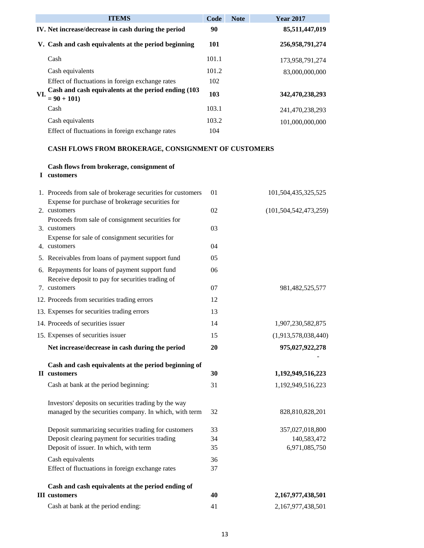|     | <b>ITEMS</b>                                                         | Code         | <b>Note</b> | <b>Year 2017</b> |
|-----|----------------------------------------------------------------------|--------------|-------------|------------------|
|     | IV. Net increase/decrease in cash during the period                  | 90           |             | 85,511,447,019   |
|     | V. Cash and cash equivalents at the period beginning                 | 101          |             | 256,958,791,274  |
|     | Cash                                                                 | 101.1        |             | 173.958.791.274  |
|     | Cash equivalents                                                     | 101.2        |             | 83,000,000,000   |
|     | Effect of fluctuations in foreign exchange rates                     | 102          |             |                  |
| VI. | Cash and cash equivalents at the period ending (103<br>$= 90 + 101$  | 103          |             | 342,470,238,293  |
|     | Cash                                                                 | 103.1        |             | 241,470,238,293  |
|     | Cash equivalents<br>Effect of fluctuations in foreign exchange rates | 103.2<br>104 |             | 101.000.000.000  |

### **CASH FLOWS FROM BROKERAGE, CONSIGNMENT OF CUSTOMERS**

## **Cash flows from brokerage, consignment of**

**I customers**

| 1. Proceeds from sale of brokerage securities for customers<br>Expense for purchase of brokerage securities for | 01 | 101,504,435,325,525       |
|-----------------------------------------------------------------------------------------------------------------|----|---------------------------|
| 2. customers                                                                                                    | 02 | (101, 504, 542, 473, 259) |
| Proceeds from sale of consignment securities for                                                                |    |                           |
| 3. customers                                                                                                    | 03 |                           |
| Expense for sale of consignment securities for                                                                  |    |                           |
| 4. customers                                                                                                    | 04 |                           |
| 5. Receivables from loans of payment support fund                                                               | 05 |                           |
| 6. Repayments for loans of payment support fund<br>Receive deposit to pay for securities trading of             | 06 |                           |
| 7. customers                                                                                                    | 07 | 981,482,525,577           |
| 12. Proceeds from securities trading errors                                                                     | 12 |                           |
| 13. Expenses for securities trading errors                                                                      | 13 |                           |
| 14. Proceeds of securities issuer                                                                               | 14 | 1,907,230,582,875         |
| 15. Expenses of securities issuer                                                                               | 15 | (1,913,578,038,440)       |
| Net increase/decrease in cash during the period                                                                 | 20 | 975,027,922,278           |
|                                                                                                                 |    |                           |
| Cash and cash equivalents at the period beginning of                                                            |    |                           |
| <b>II</b> customers                                                                                             | 30 | 1,192,949,516,223         |
| Cash at bank at the period beginning:                                                                           | 31 | 1,192,949,516,223         |
| Investors' deposits on securities trading by the way                                                            |    |                           |
| managed by the securities company. In which, with term                                                          | 32 | 828,810,828,201           |
| Deposit summarizing securities trading for customers                                                            | 33 | 357,027,018,800           |
| Deposit clearing payment for securities trading                                                                 | 34 | 140,583,472               |
| Deposit of issuer. In which, with term                                                                          | 35 | 6,971,085,750             |
| Cash equivalents                                                                                                | 36 |                           |
| Effect of fluctuations in foreign exchange rates                                                                | 37 |                           |
| Cash and cash equivalents at the period ending of                                                               |    |                           |
| <b>III</b> customers                                                                                            | 40 | 2,167,977,438,501         |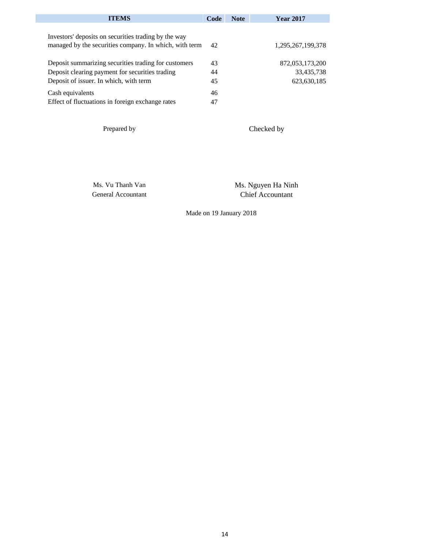| <b>ITEMS</b>                                                                                                   | Code | <b>Note</b> | <b>Year 2017</b>  |
|----------------------------------------------------------------------------------------------------------------|------|-------------|-------------------|
| Investors' deposits on securities trading by the way<br>managed by the securities company. In which, with term | 42   |             | 1,295,267,199,378 |
| Deposit summarizing securities trading for customers                                                           | 43   |             | 872,053,173,200   |
| Deposit clearing payment for securities trading                                                                | 44   |             | 33,435,738        |
| Deposit of issuer. In which, with term                                                                         | 45   |             | 623, 630, 185     |
| Cash equivalents                                                                                               | 46   |             |                   |
| Effect of fluctuations in foreign exchange rates                                                               | 47   |             |                   |

Prepared by

Checked by

Ms. Vu Thanh Van General Accountant Ms. Nguyen Ha Ninh Chief Accountant

Made on 19 January 2018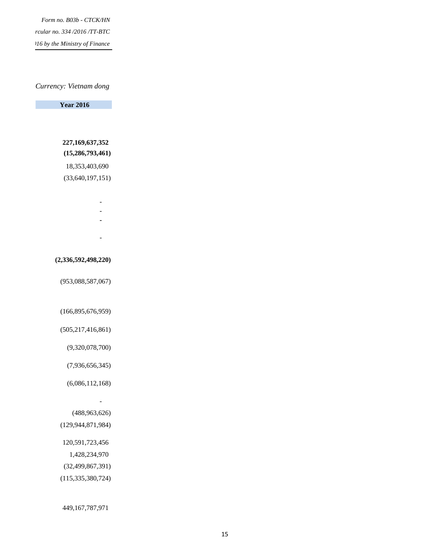*Form no. B03b - CTCK/HN Issued under Circular no. 334 /2016 /TT-BTC diated 27 <i>do by the Ministry of Finance* 

#### *Currency: Vietnam dong*

 **Year 2016** 

## **227,169,637,352 (15,286,793,461)**

18,353,403,690

(33,640,197,151)

- 1990 1990 1990 1990 1990 1990 1990 1990 1990 1990 1990 1990 1990 1990 1990 199
- 1990 1990 1990 1990 1991 1992 1992 1992 1992 1992 1992 1992 1992 1992 1992 199
- **-**
- 1990 1990 1990 1990 1990 1990 1990 1990 1990 1990 1990 1990 1990 1990 1990 199

#### **(2,336,592,498,220)**

(953,088,587,067)

#### (166,895,676,959)

(505,217,416,861)

(9,320,078,700)

(7,936,656,345)

(6,086,112,168)

#### (488,963,626)

(129,944,871,984)

- 1990 - 1990 - 1990 - 1990 - 1991 - 1992 - 1992 - 1992 - 1992 - 1992 - 1992 - 1992 - 1992 - 1992 - 1992 - 199

- 120,591,723,456
- 1,428,234,970
- (32,499,867,391)
- (115,335,380,724)

449,167,787,971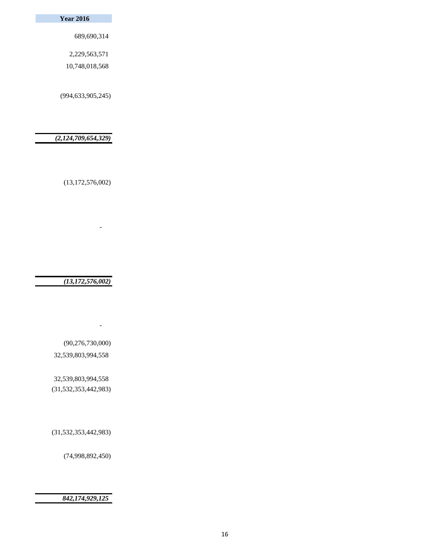#### **Year 2016**

689,690,314

2,229,563,571

10,748,018,568

(994,633,905,245)

 *(2,124,709,654,329)*

(13,172,576,002)

- 1990 - 1990 - 1990 - 1990 - 1990 - 1990 - 1990 - 1990 - 1990 - 1990 - 1990 - 1990 - 1990 - 1990 - 1990 - 199

 *(13,172,576,002)*

 (90,276,730,000) 32,539,803,994,558

- 1990 - 1990 - 1990 - 1990 - 1991 - 1992 - 1992 - 1992 - 1992 - 1992 - 1992 - 1992 - 1992 - 1992 - 1992 - 199

 32,539,803,994,558 (31,532,353,442,983)

(31,532,353,442,983)

(74,998,892,450)

#### *842,174,929,125*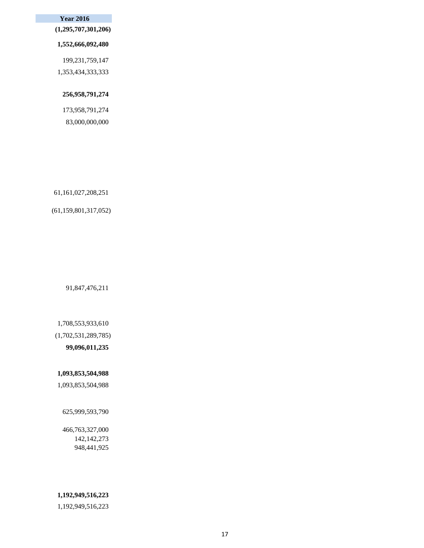#### **Year 2016**

 **(1,295,707,301,206)**

#### **1,552,666,092,480**

 199,231,759,147 1,353,434,333,333

#### **256,958,791,274**

 173,958,791,274 83,000,000,000

61,161,027,208,251

#### (61,159,801,317,052)

91,847,476,211

#### 1,708,553,933,610

(1,702,531,289,785)

#### **99,096,011,235**

#### **1,093,853,504,988**

1,093,853,504,988

#### 625,999,593,790

### 466,763,327,000 142,142,273 948,441,925

#### **1,192,949,516,223**

1,192,949,516,223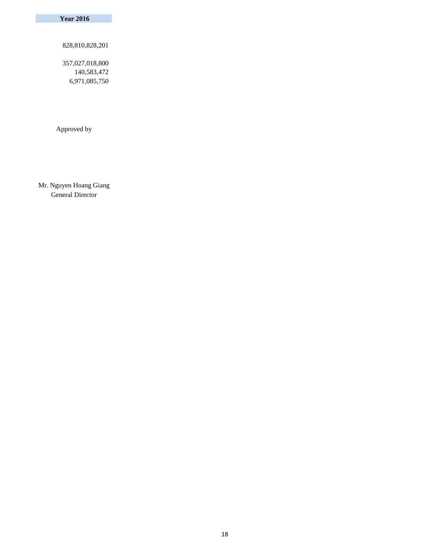**Year 2016** 

828,810,828,201

 357,027,018,800 140,583,472 6,971,085,750

Approved by

Mr. Nguyen Hoang Giang General Director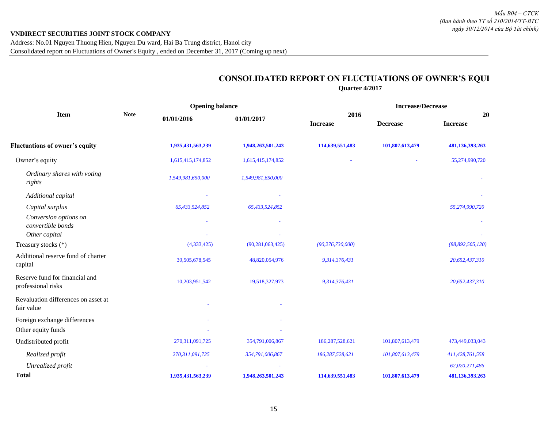## **CONSOLIDATED REPORT ON FLUCTUATIONS OF OWNER'S EQUI Quarter 4/2017**

|                                                             |             | <b>Opening balance</b> |                     |                         | <b>Increase/Decrease</b> |                       |
|-------------------------------------------------------------|-------------|------------------------|---------------------|-------------------------|--------------------------|-----------------------|
| <b>Item</b>                                                 | <b>Note</b> | 01/01/2016             | 01/01/2017          | 2016<br><b>Increase</b> | <b>Decrease</b>          | 20<br><b>Increase</b> |
| <b>Fluctuations of owner's equity</b>                       |             | 1,935,431,563,239      | 1,948,263,501,243   | 114,639,551,483         | 101,807,613,479          | 481,136,393,263       |
| Owner's equity                                              |             | 1,615,415,174,852      | 1,615,415,174,852   |                         |                          | 55,274,990,720        |
| Ordinary shares with voting<br>rights                       |             | 1,549,981,650,000      | 1,549,981,650,000   |                         |                          |                       |
| Additional capital                                          |             |                        |                     |                         |                          |                       |
| Capital surplus                                             |             | 65,433,524,852         | 65,433,524,852      |                         |                          | 55,274,990,720        |
| Conversion options on<br>convertible bonds<br>Other capital |             |                        |                     |                         |                          |                       |
| Treasury stocks (*)                                         |             | (4,333,425)            | (90, 281, 063, 425) | (90, 276, 730, 000)     |                          | (88, 892, 505, 120)   |
| Additional reserve fund of charter<br>capital               |             | 39,505,678,545         | 48,820,054,976      | 9,314,376,431           |                          | 20,652,437,310        |
| Reserve fund for financial and<br>professional risks        |             | 10,203,951,542         | 19,518,327,973      | 9,314,376,431           |                          | 20,652,437,310        |
| Revaluation differences on asset at<br>fair value           |             |                        |                     |                         |                          |                       |
| Foreign exchange differences                                |             |                        |                     |                         |                          |                       |
| Other equity funds                                          |             |                        |                     |                         |                          |                       |
| Undistributed profit                                        |             | 270, 311, 091, 725     | 354,791,006,867     | 186,287,528,621         | 101,807,613,479          | 473,449,033,043       |
| Realized profit                                             |             | 270,311,091,725        | 354,791,006,867     | 186,287,528,621         | 101,807,613,479          | 411,428,761,558       |
| Unrealized profit                                           |             |                        |                     |                         |                          | 62,020,271,486        |
| <b>Total</b>                                                |             | 1,935,431,563,239      | 1,948,263,501,243   | 114,639,551,483         | 101,807,613,479          | 481,136,393,263       |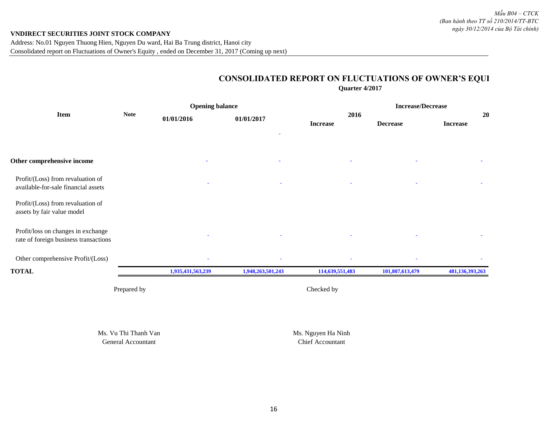## **CONSOLIDATED REPORT ON FLUCTUATIONS OF OWNER'S EQUI Quarter 4/2017**

|                                                                             |             |                   | <b>Opening balance</b> |                         | <b>Increase/Decrease</b> |                       |  |
|-----------------------------------------------------------------------------|-------------|-------------------|------------------------|-------------------------|--------------------------|-----------------------|--|
| <b>Item</b>                                                                 | <b>Note</b> | 01/01/2016        | 01/01/2017             | 2016<br><b>Increase</b> | <b>Decrease</b>          | 20<br><b>Increase</b> |  |
| Other comprehensive income                                                  |             |                   |                        |                         |                          |                       |  |
| Profit/(Loss) from revaluation of<br>available-for-sale financial assets    |             |                   |                        |                         |                          |                       |  |
| Profit/(Loss) from revaluation of<br>assets by fair value model             |             |                   |                        |                         |                          |                       |  |
| Profit/loss on changes in exchange<br>rate of foreign business transactions |             |                   |                        |                         |                          |                       |  |
| Other comprehensive Profit/(Loss)                                           |             |                   |                        |                         |                          |                       |  |
| <b>TOTAL</b>                                                                |             | 1,935,431,563,239 | 1,948,263,501,243      | 114,639,551,483         | 101,807,613,479          | 481,136,393,263       |  |
|                                                                             | Prepared by |                   |                        | Checked by              |                          |                       |  |

Ms. Vu Thi Thanh Van Ms. Nguyen Ha Ninh General Accountant Chief Accountant Chief Accountant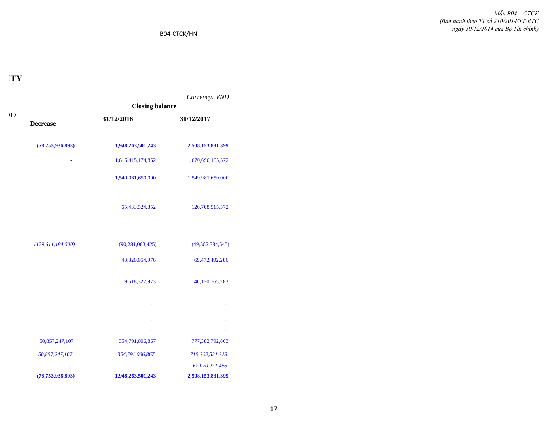B04-CTCK/HN

## **CONSOLIDATED REPORT ON FLUCTUATIONS OF OWNER'S EQUITY**

|    |                      |                        | Currency: VND       |
|----|----------------------|------------------------|---------------------|
|    |                      | <b>Closing balance</b> |                     |
| 17 | <b>Decrease</b>      | 31/12/2016             | 31/12/2017          |
|    | (78, 753, 936, 893)  | 1,948,263,501,243      | 2,508,153,831,399   |
|    |                      | 1,615,415,174,852      | 1,670,690,165,572   |
|    |                      | 1,549,981,650,000      | 1,549,981,650,000   |
|    |                      |                        |                     |
|    |                      | 65,433,524,852         | 120,708,515,572     |
|    |                      |                        |                     |
|    | (129, 611, 184, 000) | (90, 281, 063, 425)    | (49, 562, 384, 545) |
|    |                      | 48,820,054,976         | 69,472,492,286      |
|    |                      | 19,518,327,973         | 40,170,765,283      |
|    |                      |                        |                     |
|    |                      |                        |                     |
|    |                      |                        |                     |
|    | 50,857,247,107       | 354,791,006,867        | 777,382,792,803     |
|    | 50,857,247,107       | 354,791,006,867        | 715,362,521,318     |
|    |                      |                        | 62,020,271,486      |
|    | (78, 753, 936, 893)  | 1,948,263,501,243      | 2,508,153,831,399   |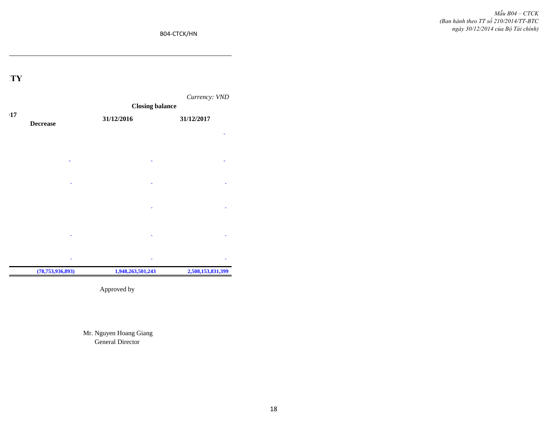B04-CTCK/HN

## **CONSOLIDATED REPORT ON FLUCTUATIONS OF OWNER'S EQUITY**



Approved by

Mr. Nguyen Hoang Giang General Director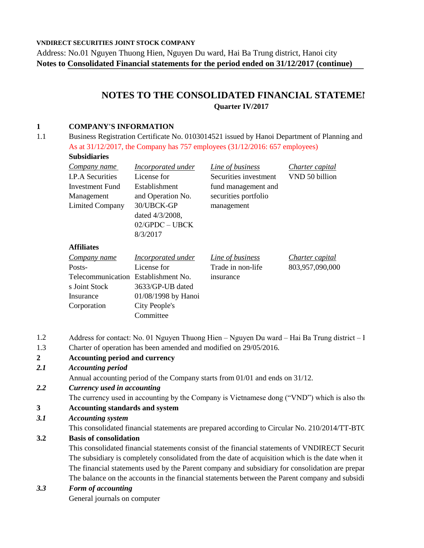**VNDIRECT SECURITIES JOINT STOCK COMPANY**

Address: No.01 Nguyen Thuong Hien, Nguyen Du ward, Hai Ba Trung district, Hanoi city **Notes to Consolidated Financial statements for the period ended on 31/12/2017 (continue)**

## **NOTES TO THE CONSOLIDATED FINANCIAL STATEME! Quarter IV/2017**

### **1 COMPANY'S INFORMATION**

1.1 Business Registration Certificate No. 0103014521 issued by Hanoi Department of Planning and As at 31/12/2017, the Company has 757 employees (31/12/2016: 657 employees) **Subsidiaries**

| wuwanai iyo              |                           |                       |                 |
|--------------------------|---------------------------|-----------------------|-----------------|
| Company name             | <b>Incorporated under</b> | Line of business      | Charter capital |
| <b>I.P.A Securities</b>  | License for               | Securities investment | VND 50 billion  |
| Investment Fund          | Establishment             | fund management and   |                 |
| Management               | and Operation No.         | securities portfolio  |                 |
| <b>Limited Company</b>   | 30/UBCK-GP                | management            |                 |
|                          | dated 4/3/2008,           |                       |                 |
|                          | $02/GPDC - UBCK$          |                       |                 |
|                          | 8/3/2017                  |                       |                 |
| <b>Affiliates</b>        |                           |                       |                 |
| Company name             | Incorporated under        | Line of business      | Charter capital |
| Posts-                   | License for               | Trade in non-life     | 803,957,090,000 |
| <b>Telecommunication</b> | Establishment No.         | insurance             |                 |
| s Joint Stock            | 3633/GP-UB dated          |                       |                 |
| Insurance                | 01/08/1998 by Hanoi       |                       |                 |
| Corporation              | City People's             |                       |                 |
|                          | Committee                 |                       |                 |

- 1.2 Address for contact: No. 01 Nguyen Thuong Hien Nguyen Du ward Hai Ba Trung district I
- 1.3 Charter of operation has been amended and modified on 29/05/2016.

## **2 Accounting period and currency**

*2.1 Accounting period*

Annual accounting period of the Company starts from 01/01 and ends on 31/12.

- *2.2 Currency used in accounting*
	- The currency used in accounting by the Company is Vietnamese dong ("VND") which is also the

#### **3 Accounting standards and system**

*3.1 Accounting system*

This consolidated financial statements are prepared according to Circular No. 210/2014/TT-BTC

#### **3.2 Basis of consolidation**

This consolidated financial statements consist of the financial statements of VNDIRECT Securit The subsidiary is completely consolidated from the date of acquisition which is the date when it The financial statements used by the Parent company and subsidiary for consolidation are prepar The balance on the accounts in the financial statements between the Parent company and subsidi

#### *3.3 Form of accounting*

General journals on computer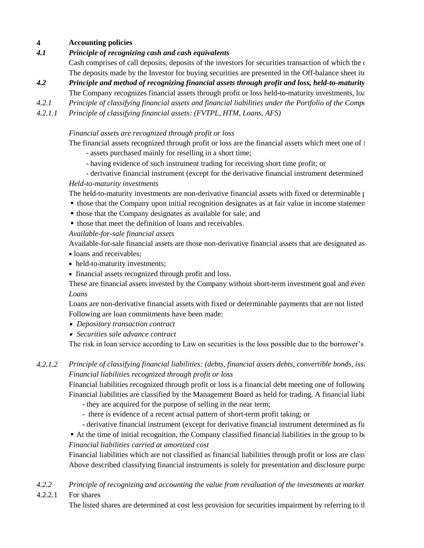#### **4 Accounting policies**

#### *4.1 Principle of recognizing cash and cash equivalents*

The deposits made by the Investor for buying securities are presented in the Off-balance sheet ite Cash comprises of call deposits, deposits of the investors for securities transaction of which the  $\alpha$ 

- *4.2 Principle and method of recognizing financial assets through profit and loss, held-to-maturity* The Company recognizes financial assets through profit or loss held-to-maturity investments,  $\log$
- *4.2.1 Principle of classifying financial assets and financial liabilities under the Portfolio of the Compliance with the interpretational the interpretational Prince with the compliance with the compliance with the compliance w*
- *4.2.1.1 Principle of classifying financial assets: (FVTPL, HTM, Loans, AFS)*

### *Financial assets are recognized through profit or loss*

The financial assets recognized through profit or loss are the financial assets which meet one of  $\dagger$ 

- assets purchased mainly for reselling in a short time;
- having evidence of such instrument trading for receiving short time profit; or
- derivative financial instrument (except for the derivative financial instrument determined

### *Held-to-maturity investments*

The held-to-maturity investments are non-derivative financial assets with fixed or determinable  $\mu$ 

- those that the Company upon initial recognition designates as at fair value in income statemen
- those that the Company designates as available for sale; and
- $\blacksquare$  those that meet the definition of loans and receivables.

### *Available-for-sale financial assets*

Available-for-sale financial assets are those non-derivative financial assets that are designated as

- loans and receivables:
- held-to-maturity investments;
- financial assets recognized through profit and loss.

*Loans* These are financial assets invested by the Company without short-term investment goal and even

Loans are non-derivative financial assets with fixed or determinable payments that are not listed. Following are loan commitments have been made:

- *Depository transaction contract*
- *Securities sale advance contract*

The risk in loan service according to Law on securities is the loss possible due to the borrower's

#### *4.2.1.2 Principle of classifying financial liabilities: (debts, financial assets debts, convertible bonds, issued bonds, issued bonds, issued by ning bonds, issued by ning bonds, issued by ning by ning by ning by ning by ning by Financial liabilities recognized through profit or loss*

Financial liabilities are classified by the Management Board as held for trading. A financial liabi Financial liabilities recognized through profit or loss is a financial debt meeting one of following

- they are acquired for the purpose of selling in the near term;
- there is evidence of a recent actual pattern of short-term profit taking; or
- derivative financial instrument (except for derivative financial instrument determined as final
- At the time of initial recognition, the Company classified financial liabilities in the group to be *Financial liabilities carried at amortized cost*

Financial liabilities which are not classified as financial liabilities through profit or loss are class Above described classifying financial instruments is solely for presentation and disclosure purpo

#### *4.2.2 Principle of recognizing and accounting the value from revaluation of the investments at market*

4.2.2.1 For shares

The listed shares are determined at cost less provision for securities impairment by referring to the closing price for HOSE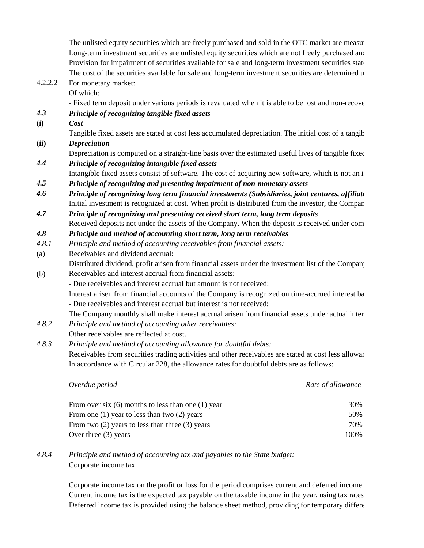Provision for impairment of securities available for sale and long-term investment securities state The cost of the securities available for sale and long-term investment securities are determined u The unlisted equity securities which are freely purchased and sold in the OTC market are measured at cost of  $\alpha$ Long-term investment securities are unlisted equity securities which are not freely purchased and

# 4.2.2.2 For monetary market:

Of which:

- Fixed term deposit under various periods is revaluated when it is able to be lost and non-recove

## *4.3 Principle of recognizing tangible fixed assets*

- **(i)** *Cost*
	- Tangible fixed assets are stated at cost less accumulated depreciation. The initial cost of a tangib

## **(ii)** *Depreciation*

Depreciation is computed on a straight-line basis over the estimated useful lives of tangible fixed

*4.4 Principle of recognizing intangible fixed assets*

Intangible fixed assets consist of software. The cost of acquiring new software, which is not an integral part of the relationship

*4.5 Principle of recognizing and presenting impairment of non-monetary assets*

*4.6 Principle of recognizing long term financial investments (Subsidiaries, joint ventures, affiliates)* Initial investment is recognized at cost. When profit is distributed from the investor, the Compan

- *4.7 Principle of recognizing and presenting received short term, long term deposits* Received deposits not under the assets of the Company. When the deposit is received under com-
- *4.8 Principle and method of accounting short term, long term receivables*
- *4.8.1 Principle and method of accounting receivables from financial assets:*
- (a) Receivables and dividend accrual:
- (b) Receivables and interest accrual from financial assets: Distributed dividend, profit arisen from financial assets under the investment list of the Company
	- Due receivables and interest accrual but amount is not received:

Interest arisen from financial accounts of the Company is recognized on time-accrued interest ba - Due receivables and interest accrual but interest is not received:

The Company monthly shall make interest accrual arisen from financial assets under actual interest rate and time arisen interest are and time are and time are and the company of the company and time are company of the Comp

*4.8.2 Principle and method of accounting other receivables:*

Other receivables are reflected at cost.

*4.8.3 Principle and method of accounting allowance for doubtful debts:* Receivables from securities trading activities and other receivables are stated at cost less allowar In accordance with Circular 228, the allowance rates for doubtful debts are as follows:

| Overdue period                                         | Rate of allowance |
|--------------------------------------------------------|-------------------|
| From over six $(6)$ months to less than one $(1)$ year | 30%               |
| From one $(1)$ year to less than two $(2)$ years       | 50%               |
| From two $(2)$ years to less than three $(3)$ years    | 70%               |
| Over three $(3)$ years                                 | 100%              |

#### *4.8.4* Corporate income tax *Principle and method of accounting tax and payables to the State budget:*

Deferred income tax is provided using the balance sheet method, providing for temporary differences Corporate income tax on the profit or loss for the period comprises current and deferred income Current income tax is the expected tax payable on the taxable income in the year, using tax rates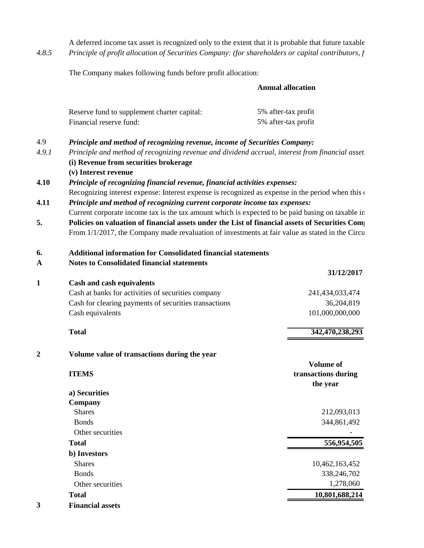*4.8.5* A deferred income tax asset is recognized only to the extent that it is probable that future taxable *Principle of profit allocation of Securities Company: (for shareholders or capital contributors, f* 

The Company makes following funds before profit allocation:

#### **Annual allocation**

|                  | Reserve fund to supplement charter capital:                                                          | 5% after-tax profit                                                        |  |  |  |  |  |
|------------------|------------------------------------------------------------------------------------------------------|----------------------------------------------------------------------------|--|--|--|--|--|
|                  | Financial reserve fund:                                                                              | 5% after-tax profit                                                        |  |  |  |  |  |
| 4.9              | Principle and method of recognizing revenue, income of Securities Company:                           |                                                                            |  |  |  |  |  |
| 4.9.1            | Principle and method of recognizing revenue and dividend accrual, interest from financial asset      |                                                                            |  |  |  |  |  |
|                  | (i) Revenue from securities brokerage                                                                |                                                                            |  |  |  |  |  |
|                  | (v) Interest revenue                                                                                 |                                                                            |  |  |  |  |  |
| 4.10             |                                                                                                      | Principle of recognizing financial revenue, financial activities expenses: |  |  |  |  |  |
|                  | Recognizing interest expense: Interest expense is recognized as expense in the period when this      |                                                                            |  |  |  |  |  |
| 4.11             | Principle and method of recognizing current corporate income tax expenses:                           |                                                                            |  |  |  |  |  |
|                  | Current corporate income tax is the tax amount which is expected to be paid basing on taxable in     |                                                                            |  |  |  |  |  |
| 5.               | Policies on valuation of financial assets under the List of financial assets of Securities Comparent |                                                                            |  |  |  |  |  |
|                  | From 1/1/2017, the Company made revaluation of investments at fair value as stated in the Circu      |                                                                            |  |  |  |  |  |
| 6.               | <b>Additional information for Consolidated financial statements</b>                                  |                                                                            |  |  |  |  |  |
| $\mathbf A$      | <b>Notes to Consolidated financial statements</b>                                                    |                                                                            |  |  |  |  |  |
|                  |                                                                                                      | 31/12/2017                                                                 |  |  |  |  |  |
| 1                | <b>Cash and cash equivalents</b>                                                                     |                                                                            |  |  |  |  |  |
|                  | Cash at banks for activities of securities company                                                   | 241,434,033,474                                                            |  |  |  |  |  |
|                  | Cash for clearing payments of securities transactions                                                | 36,204,819                                                                 |  |  |  |  |  |
|                  | Cash equivalents                                                                                     | 101,000,000,000                                                            |  |  |  |  |  |
|                  | <b>Total</b>                                                                                         | 342,470,238,293                                                            |  |  |  |  |  |
| $\boldsymbol{2}$ | Volume value of transactions during the year                                                         |                                                                            |  |  |  |  |  |
|                  |                                                                                                      | Volume of                                                                  |  |  |  |  |  |
|                  | <b>ITEMS</b>                                                                                         | transactions during                                                        |  |  |  |  |  |
|                  |                                                                                                      | the year                                                                   |  |  |  |  |  |
|                  | a) Securities                                                                                        |                                                                            |  |  |  |  |  |
|                  | Company                                                                                              |                                                                            |  |  |  |  |  |
|                  | <b>Shares</b>                                                                                        | 212,093,013                                                                |  |  |  |  |  |
|                  | <b>Bonds</b>                                                                                         | 344,861,492                                                                |  |  |  |  |  |
|                  | Other securities                                                                                     |                                                                            |  |  |  |  |  |
|                  | <b>Total</b>                                                                                         | 556,954,505                                                                |  |  |  |  |  |
|                  | b) Investors                                                                                         |                                                                            |  |  |  |  |  |
|                  | <b>Shares</b>                                                                                        | 10,462,163,452                                                             |  |  |  |  |  |
|                  | <b>Bonds</b>                                                                                         | 338,246,702                                                                |  |  |  |  |  |
|                  | Other securities                                                                                     | 1,278,060                                                                  |  |  |  |  |  |
|                  | <b>Total</b>                                                                                         | 10,801,688,214                                                             |  |  |  |  |  |
| 3                | <b>Financial assets</b>                                                                              |                                                                            |  |  |  |  |  |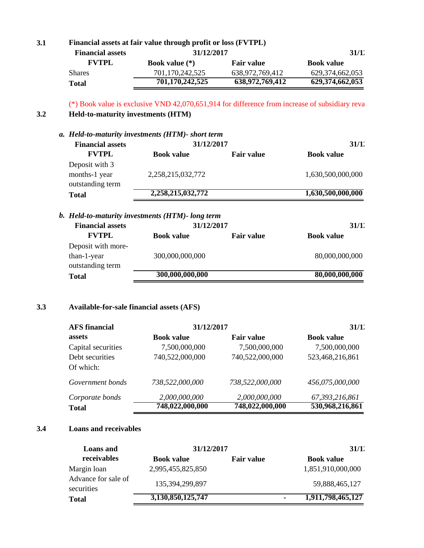| <b>Financial assets</b><br><b>FVTPL</b>   | 31/12/2017                                                                                     |                   |                   |  |
|-------------------------------------------|------------------------------------------------------------------------------------------------|-------------------|-------------------|--|
|                                           |                                                                                                |                   | 31/1'             |  |
|                                           | Book value $(*)$                                                                               | <b>Fair value</b> | <b>Book value</b> |  |
| <b>Shares</b>                             | 701,170,242,525                                                                                | 638,972,769,412   | 629,374,662,053   |  |
| <b>Total</b>                              | 701,170,242,525                                                                                | 638,972,769,412   | 629,374,662,053   |  |
|                                           | (*) Book value is exclusive VND 42,070,651,914 for difference from increase of subsidiary reva |                   |                   |  |
| <b>Held-to-maturity investments (HTM)</b> |                                                                                                |                   |                   |  |
|                                           | a. Held-to-maturity investments (HTM)- short term                                              |                   |                   |  |
| <b>Financial assets</b>                   | 31/12/2017                                                                                     |                   | 31/1              |  |
| <b>FVTPL</b>                              | <b>Book value</b>                                                                              | <b>Fair value</b> | <b>Book value</b> |  |
| Deposit with 3<br>months-1 year           | 2,258,215,032,772                                                                              |                   | 1,630,500,000,000 |  |
| outstanding term                          |                                                                                                |                   |                   |  |
| <b>Total</b>                              | 2,258,215,032,772                                                                              |                   | 1,630,500,000,000 |  |

## **3.3 Available-for-sale financial assets (AFS)**

| <b>AFS</b> financial         | 31/12/2017        |                   | 31/1'             |  |
|------------------------------|-------------------|-------------------|-------------------|--|
| assets                       | <b>Book value</b> | <b>Fair value</b> | <b>Book value</b> |  |
| Capital securities           | 7,500,000,000     | 7,500,000,000     | 7,500,000,000     |  |
| Debt securities<br>Of which: | 740,522,000,000   | 740,522,000,000   | 523,468,216,861   |  |
| Government bonds             | 738,522,000,000   | 738,522,000,000   | 456,075,000,000   |  |
| Corporate bonds              | 2,000,000,000     | 2,000,000,000     | 67,393,216,861    |  |
| <b>Total</b>                 | 748,022,000,000   | 748,022,000,000   | 530,968,216,861   |  |

## **3.4 Loans and receivables**

| <b>Loans</b> and                  | 31/12/2017        |                   |    | 31/1'             |  |
|-----------------------------------|-------------------|-------------------|----|-------------------|--|
| receivables                       | <b>Book value</b> | <b>Fair value</b> |    | <b>Book value</b> |  |
| Margin loan                       | 2,995,455,825,850 |                   |    | 1,851,910,000,000 |  |
| Advance for sale of<br>securities | 135,394,299,897   |                   |    | 59,888,465,127    |  |
| <b>Total</b>                      | 3,130,850,125,747 |                   | ۰. | 1,911,798,465,127 |  |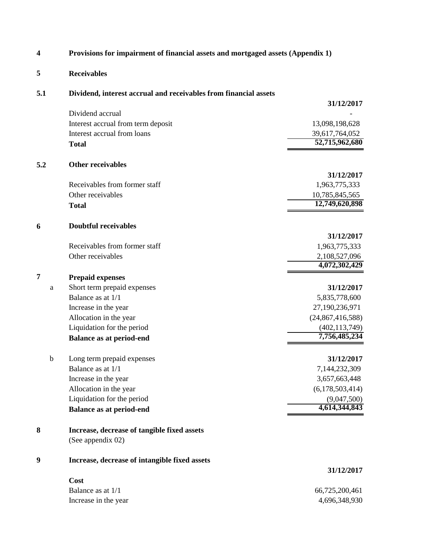| 4                | Provisions for impairment of financial assets and mortgaged assets (Appendix 1) |                                  |  |  |  |
|------------------|---------------------------------------------------------------------------------|----------------------------------|--|--|--|
| 5                | <b>Receivables</b>                                                              |                                  |  |  |  |
| 5.1              | Dividend, interest accrual and receivables from financial assets                |                                  |  |  |  |
|                  |                                                                                 | 31/12/2017                       |  |  |  |
|                  | Dividend accrual                                                                |                                  |  |  |  |
|                  | Interest accrual from term deposit                                              | 13,098,198,628                   |  |  |  |
|                  | Interest accrual from loans                                                     | 39,617,764,052<br>52,715,962,680 |  |  |  |
|                  | <b>Total</b>                                                                    |                                  |  |  |  |
| 5.2              | <b>Other receivables</b>                                                        |                                  |  |  |  |
|                  |                                                                                 | 31/12/2017                       |  |  |  |
|                  | Receivables from former staff                                                   | 1,963,775,333                    |  |  |  |
|                  | Other receivables                                                               | 10,785,845,565                   |  |  |  |
|                  | <b>Total</b>                                                                    | 12,749,620,898                   |  |  |  |
| 6                | <b>Doubtful receivables</b>                                                     |                                  |  |  |  |
|                  |                                                                                 | 31/12/2017                       |  |  |  |
|                  | Receivables from former staff                                                   | 1,963,775,333                    |  |  |  |
|                  | Other receivables                                                               | 2,108,527,096<br>4,072,302,429   |  |  |  |
| 7                | <b>Prepaid expenses</b>                                                         |                                  |  |  |  |
| a                | Short term prepaid expenses                                                     | 31/12/2017                       |  |  |  |
|                  | Balance as at 1/1                                                               | 5,835,778,600                    |  |  |  |
|                  | Increase in the year                                                            | 27,190,236,971                   |  |  |  |
|                  | Allocation in the year                                                          | (24,867,416,588)                 |  |  |  |
|                  | Liquidation for the period                                                      | (402, 113, 749)                  |  |  |  |
|                  | <b>Balance as at period-end</b>                                                 | 7,756,485,234                    |  |  |  |
| b                | Long term prepaid expenses                                                      | 31/12/2017                       |  |  |  |
|                  | Balance as at 1/1                                                               | 7,144,232,309                    |  |  |  |
|                  | Increase in the year                                                            | 3,657,663,448                    |  |  |  |
|                  | Allocation in the year                                                          | (6,178,503,414)                  |  |  |  |
|                  | Liquidation for the period                                                      | (9,047,500)                      |  |  |  |
|                  | <b>Balance as at period-end</b>                                                 | 4,614,344,843                    |  |  |  |
| 8                | Increase, decrease of tangible fixed assets                                     |                                  |  |  |  |
|                  | (See appendix 02)                                                               |                                  |  |  |  |
| $\boldsymbol{9}$ | Increase, decrease of intangible fixed assets                                   |                                  |  |  |  |
|                  |                                                                                 | 31/12/2017                       |  |  |  |
|                  | Cost                                                                            |                                  |  |  |  |
|                  | Balance as at 1/1                                                               | 66,725,200,461                   |  |  |  |
|                  | Increase in the year                                                            | 4,696,348,930                    |  |  |  |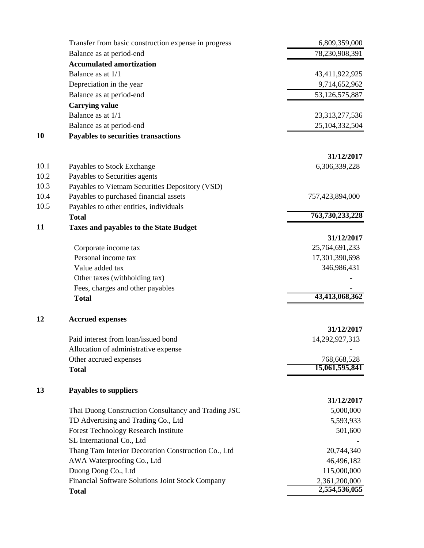|      | Transfer from basic construction expense in progress | 6,809,359,000                  |
|------|------------------------------------------------------|--------------------------------|
|      | Balance as at period-end                             | 78,230,908,391                 |
|      | <b>Accumulated amortization</b>                      |                                |
|      | Balance as at 1/1                                    | 43,411,922,925                 |
|      | Depreciation in the year                             | 9,714,652,962                  |
|      | Balance as at period-end                             | 53,126,575,887                 |
|      | <b>Carrying value</b>                                |                                |
|      | Balance as at 1/1                                    | 23,313,277,536                 |
|      | Balance as at period-end                             | 25,104,332,504                 |
| 10   | Payables to securities transactions                  |                                |
|      |                                                      |                                |
|      |                                                      | 31/12/2017                     |
| 10.1 | Payables to Stock Exchange                           | 6,306,339,228                  |
| 10.2 | Payables to Securities agents                        |                                |
| 10.3 | Payables to Vietnam Securities Depository (VSD)      |                                |
| 10.4 | Payables to purchased financial assets               | 757,423,894,000                |
| 10.5 | Payables to other entities, individuals              |                                |
|      | <b>Total</b>                                         | 763,730,233,228                |
| 11   | <b>Taxes and payables to the State Budget</b>        |                                |
|      |                                                      | 31/12/2017                     |
|      | Corporate income tax                                 | 25,764,691,233                 |
|      | Personal income tax                                  | 17,301,390,698                 |
|      | Value added tax                                      | 346,986,431                    |
|      | Other taxes (withholding tax)                        |                                |
|      | Fees, charges and other payables                     |                                |
|      | <b>Total</b>                                         | 43,413,068,362                 |
|      |                                                      |                                |
| 12   | <b>Accrued expenses</b>                              |                                |
|      |                                                      | 31/12/2017                     |
|      | Paid interest from loan/issued bond                  | 14,292,927,313                 |
|      | Allocation of administrative expense                 |                                |
|      | Other accrued expenses                               | 768,668,528                    |
|      | <b>Total</b>                                         | 15,061,595,841                 |
|      |                                                      |                                |
| 13   | <b>Payables to suppliers</b>                         |                                |
|      |                                                      | 31/12/2017                     |
|      | Thai Duong Construction Consultancy and Trading JSC  | 5,000,000                      |
|      | TD Advertising and Trading Co., Ltd                  | 5,593,933                      |
|      | <b>Forest Technology Research Institute</b>          | 501,600                        |
|      | SL International Co., Ltd                            |                                |
|      | Thang Tam Interior Decoration Construction Co., Ltd  | 20,744,340                     |
|      | AWA Waterproofing Co., Ltd                           | 46,496,182                     |
|      | Duong Dong Co., Ltd                                  | 115,000,000                    |
|      | Financial Software Solutions Joint Stock Company     | 2,361,200,000<br>2,554,536,055 |
|      | <b>Total</b>                                         |                                |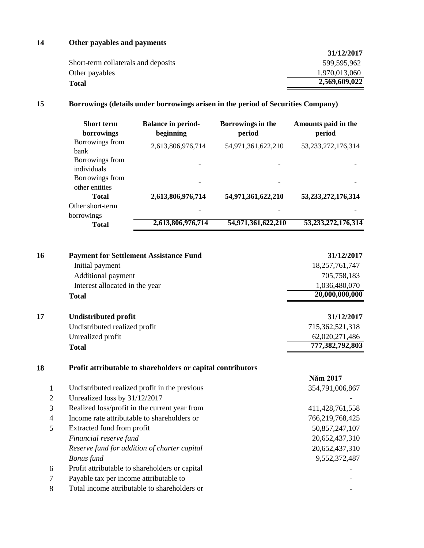## **14 Other payables and payments**

|                                     | 31/12/2017    |
|-------------------------------------|---------------|
| Short-term collaterals and deposits | 599,595,962   |
| Other payables                      | 1,970,013,060 |
| <b>Total</b>                        | 2,569,609,022 |

## **15 Borrowings (details under borrowings arisen in the period of Securities Company)**

| <b>Short term</b><br>borrowings | <b>Balance in period-</b><br>beginning | Borrowings in the<br>period | Amounts paid in the<br>period |
|---------------------------------|----------------------------------------|-----------------------------|-------------------------------|
| Borrowings from<br><b>bank</b>  | 2,613,806,976,714                      | 54,971,361,622,210          | 53, 233, 272, 176, 314        |
| Borrowings from                 |                                        |                             |                               |
| individuals                     |                                        |                             |                               |
| Borrowings from                 |                                        |                             |                               |
| other entities                  |                                        |                             |                               |
| <b>Total</b>                    | 2,613,806,976,714                      | 54,971,361,622,210          | 53, 233, 272, 176, 314        |
| Other short-term                |                                        |                             |                               |
| borrowings                      |                                        |                             |                               |
| <b>Total</b>                    | 2,613,806,976,714                      | 54,971,361,622,210          | 53, 233, 272, 176, 314        |

| 16             | <b>Payment for Settlement Assistance Fund</b>               | 31/12/2017         |
|----------------|-------------------------------------------------------------|--------------------|
|                | Initial payment                                             | 18,257,761,747     |
|                | Additional payment                                          | 705,758,183        |
|                | Interest allocated in the year                              | 1,036,480,070      |
|                | <b>Total</b>                                                | 20,000,000,000     |
| 17             | <b>Undistributed profit</b>                                 | 31/12/2017         |
|                | Undistributed realized profit                               | 715,362,521,318    |
|                | Unrealized profit                                           | 62,020,271,486     |
|                | <b>Total</b>                                                | 777,382,792,803    |
|                |                                                             |                    |
| 18             | Profit attributable to shareholders or capital contributors |                    |
|                |                                                             | Năm 2017           |
| 1              | Undistributed realized profit in the previous               | 354,791,006,867    |
| $\overline{2}$ | Unrealized loss by 31/12/2017                               |                    |
| 3              | Realized loss/profit in the current year from               | 411, 428, 761, 558 |
| 4              | Income rate attributable to shareholders or                 | 766,219,768,425    |
| 5              | Extracted fund from profit                                  | 50,857,247,107     |
|                | Financial reserve fund                                      | 20,652,437,310     |
|                | Reserve fund for addition of charter capital                | 20,652,437,310     |
|                | <b>Bonus</b> fund                                           | 9,552,372,487      |
| 6              | Profit attributable to shareholders or capital              |                    |
| 7              | Payable tax per income attributable to                      |                    |
| 8              | Total income attributable to shareholders or                |                    |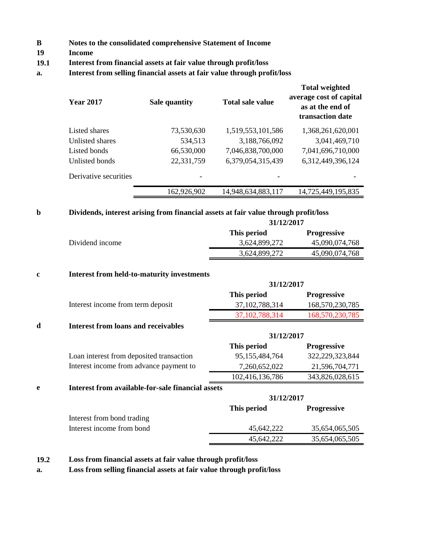- **B Notes to the consolidated comprehensive Statement of Income**
- **19 Income**
- **19.1 Interest from financial assets at fair value through profit/loss**
- **a. Interest from selling financial assets at fair value through profit/loss**

| <b>Year 2017</b>      | <b>Sale quantity</b> | <b>Total sale value</b> | <b>Total weighted</b><br>average cost of capital<br>as at the end of<br>transaction date |
|-----------------------|----------------------|-------------------------|------------------------------------------------------------------------------------------|
| Listed shares         | 73,530,630           | 1,519,553,101,586       | 1,368,261,620,001                                                                        |
| Unlisted shares       | 534,513              | 3,188,766,092           | 3,041,469,710                                                                            |
| Listed bonds          | 66,530,000           | 7,046,838,700,000       | 7,041,696,710,000                                                                        |
| Unlisted bonds        | 22,331,759           | 6,379,054,315,439       | 6,312,449,396,124                                                                        |
| Derivative securities | -                    |                         |                                                                                          |
|                       | 162,926,902          | 14,948,634,883,117      | 14,725,449,195,835                                                                       |

#### **b Dividends, interest arising from financial assets at fair value through profit/loss**

|                 |               | 31/12/2017         |  |
|-----------------|---------------|--------------------|--|
|                 | This period   | <b>Progressive</b> |  |
| Dividend income | 3,624,899,272 | 45,090,074,768     |  |
|                 | 3,624,899,272 | 45,090,074,768     |  |

**31/12/2017**

#### **c Interest from held-to-maturity investments**

|                                   |                   | 31/12/2017         |  |
|-----------------------------------|-------------------|--------------------|--|
|                                   | This period       | <b>Progressive</b> |  |
| Interest income from term deposit | 37, 102, 788, 314 | 168,570,230,785    |  |
|                                   | 37, 102, 788, 314 | 168,570,230,785    |  |

#### **d Interest from loans and receivables**

|   |                                                   | 31/12/2017      |                    |
|---|---------------------------------------------------|-----------------|--------------------|
|   |                                                   | This period     | <b>Progressive</b> |
|   | Loan interest from deposited transaction          | 95,155,484,764  | 322,229,323,844    |
|   | Interest income from advance payment to           | 7,260,652,022   | 21,596,704,771     |
|   |                                                   | 102,416,136,786 | 343,826,028,615    |
| e | Interest from available-for-sale financial assets |                 |                    |
|   |                                                   | 31/12/2017      |                    |
|   |                                                   | This period     | <b>Progressive</b> |

|                            | THIS DELIVA | <b>I</b> LUZI COOLVC |
|----------------------------|-------------|----------------------|
| Interest from bond trading |             |                      |
| Interest income from bond  | 45.642.222  | 35,654,065,505       |
|                            | 45.642.222  | 35,654,065,505       |
|                            |             |                      |

**19.2 Loss from financial assets at fair value through profit/loss**

**a. Loss from selling financial assets at fair value through profit/loss**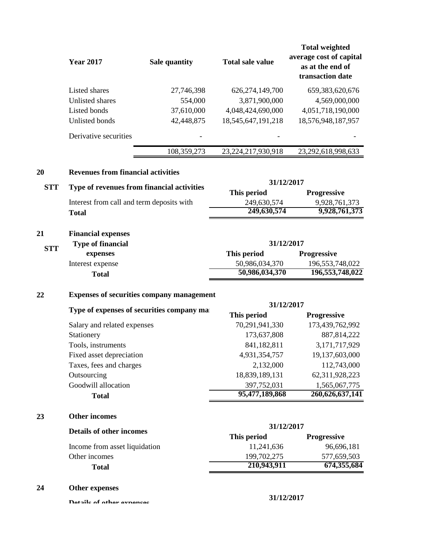|            | <b>Year 2017</b>                           | Sale quantity                                    | <b>Total sale value</b>       | <b>Total weighted</b><br>average cost of capital<br>as at the end of<br>transaction date |
|------------|--------------------------------------------|--------------------------------------------------|-------------------------------|------------------------------------------------------------------------------------------|
|            | Listed shares                              | 27,746,398                                       | 626, 274, 149, 700            | 659,383,620,676                                                                          |
|            | Unlisted shares                            | 554,000                                          | 3,871,900,000                 | 4,569,000,000                                                                            |
|            | Listed bonds                               | 37,610,000                                       | 4,048,424,690,000             | 4,051,718,190,000                                                                        |
|            | Unlisted bonds                             | 42,448,875                                       | 18,545,647,191,218            | 18,576,948,187,957                                                                       |
|            | Derivative securities                      |                                                  |                               |                                                                                          |
|            |                                            | 108,359,273                                      | 23,224,217,930,918            | 23,292,618,998,633                                                                       |
| 20         | <b>Revenues from financial activities</b>  |                                                  |                               |                                                                                          |
| <b>STT</b> | Type of revenues from financial activities |                                                  | 31/12/2017                    |                                                                                          |
|            |                                            |                                                  | This period                   | Progressive                                                                              |
|            | Interest from call and term deposits with  |                                                  | 249,630,574                   | 9,928,761,373                                                                            |
|            | <b>Total</b>                               |                                                  | 249,630,574                   | 9,928,761,373                                                                            |
| 21         | <b>Financial expenses</b>                  |                                                  |                               |                                                                                          |
|            | <b>Type of financial</b>                   |                                                  | 31/12/2017                    |                                                                                          |
| <b>STT</b> | expenses                                   |                                                  | This period                   | Progressive                                                                              |
|            | Interest expense                           |                                                  | 50,986,034,370                | 196,553,748,022                                                                          |
|            | <b>Total</b>                               |                                                  | 50,986,034,370                | 196,553,748,022                                                                          |
| 22         |                                            | <b>Expenses of securities company management</b> |                               |                                                                                          |
|            |                                            | Type of expenses of securities company ma        | 31/12/2017                    |                                                                                          |
|            |                                            |                                                  | This period                   | Progressive                                                                              |
|            | Salary and related expenses                |                                                  | 70,291,941,330                | 173,439,762,992                                                                          |
|            | Stationery                                 |                                                  | 173,637,808                   | 887, 814, 222                                                                            |
|            | Tools, instruments                         |                                                  | 841,182,811                   | 3,171,717,929                                                                            |
|            | Fixed asset depreciation                   |                                                  | 4,931,354,757                 | 19,137,603,000                                                                           |
|            | Taxes, fees and charges                    |                                                  | 2,132,000                     | 112,743,000                                                                              |
|            | Outsourcing                                |                                                  | 18,839,189,131                | 62,311,928,223                                                                           |
|            | Goodwill allocation<br><b>Total</b>        |                                                  | 397,752,031<br>95,477,189,868 | 1,565,067,775<br>260,626,637,141                                                         |
|            |                                            |                                                  |                               |                                                                                          |
| 23         | <b>Other incomes</b>                       |                                                  |                               |                                                                                          |
|            | <b>Details of other incomes</b>            |                                                  | 31/12/2017<br>This period     | <b>Progressive</b>                                                                       |
|            | Income from asset liquidation              |                                                  | 11,241,636                    | 96,696,181                                                                               |
|            | Other incomes                              |                                                  | 199,702,275                   | 577,659,503                                                                              |
|            | <b>Total</b>                               |                                                  | 210,943,911                   | 674,355,684                                                                              |
| 24         | Other expenses                             |                                                  |                               |                                                                                          |
|            | Datails of other expenses                  |                                                  | 31/12/2017                    |                                                                                          |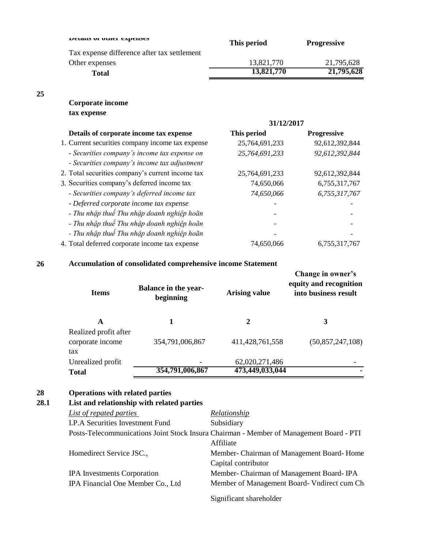| Details of other expenses                   | This period | <b>Progressive</b> |
|---------------------------------------------|-------------|--------------------|
| Tax expense difference after tax settlement |             |                    |
| Other expenses                              | 13,821,770  | 21,795,628         |
| <b>Total</b>                                | 13,821,770  | 21,795,628         |

## **Corporate income tax expense**

|                                                  | 31/12/2017     |                    |
|--------------------------------------------------|----------------|--------------------|
| Details of corporate income tax expense          | This period    | <b>Progressive</b> |
| 1. Current securities company income tax expense | 25,764,691,233 | 92,612,392,844     |
| - Securities company's income tax expense on     | 25,764,691,233 | 92,612,392,844     |
| - Securities company's income tax adjustment     |                |                    |
| 2. Total securities company's current income tax | 25,764,691,233 | 92,612,392,844     |
| 3. Securities company's deferred income tax      | 74,650,066     | 6,755,317,767      |
| - Securities company's deferred income tax       | 74,650,066     | 6,755,317,767      |
| - Deferred corporate income tax expense          |                |                    |
| - Thu nhập thuế Thu nhập doanh nghiệp hoãn       |                |                    |
| - Thu nhập thuế Thu nhập doanh nghiệp hoãn       |                |                    |
| - Thu nhập thuế Thu nhập doanh nghiệp hoãn       |                |                    |
| 4. Total deferred corporate income tax expense   | 74,650,066     | 6,755,317,767      |

## **26 Accumulation of consolidated comprehensive income Statement**

| <b>Items</b>                                     | <b>Balance in the year-</b><br>beginning | <b>Arising value</b> | Change in owner's<br>equity and recognition<br>into business result |
|--------------------------------------------------|------------------------------------------|----------------------|---------------------------------------------------------------------|
| A                                                |                                          | 2                    | 3                                                                   |
| Realized profit after<br>corporate income<br>tax | 354,791,006,867                          | 411, 428, 761, 558   | (50, 857, 247, 108)                                                 |
| Unrealized profit                                |                                          | 62,020,271,486       |                                                                     |
| <b>Total</b>                                     | 354,791,006,867                          | 473,449,033,044      |                                                                     |

## **28 Operations with related parties**

# **28.1 List and relationship with related parties**

| List of repated parties                                                                 | <b>Relationship</b>                        |  |  |  |
|-----------------------------------------------------------------------------------------|--------------------------------------------|--|--|--|
| I.P.A Securities Investment Fund                                                        | Subsidiary                                 |  |  |  |
| Posts-Telecommunications Joint Stock Insura Chairman - Member of Management Board - PTI |                                            |  |  |  |
|                                                                                         | Affiliate                                  |  |  |  |
| Homedirect Service JSC.,                                                                | Member- Chairman of Management Board-Home  |  |  |  |
|                                                                                         | Capital contributor                        |  |  |  |
| <b>IPA</b> Investments Corporation                                                      | Member- Chairman of Management Board-IPA   |  |  |  |
| IPA Financial One Member Co., Ltd                                                       | Member of Management Board-Vndirect cum Ch |  |  |  |
|                                                                                         | Significant shareholder                    |  |  |  |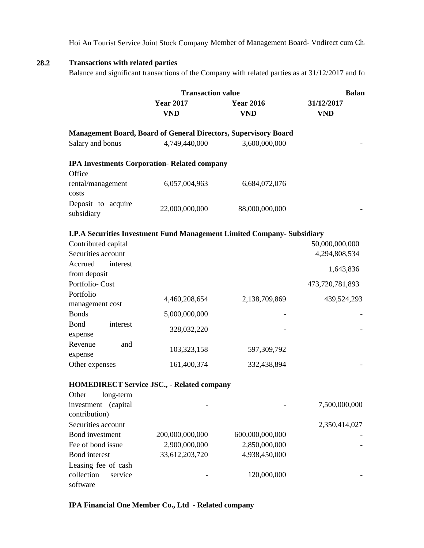Hoi An Tourist Service Joint Stock Company Member of Management Board- Vndirect cum Ch

### **28.2 Transactions with related parties**

Balance and significant transactions of the Company with related parties as at  $31/12/2017$  and for

|                                      | <b>Transaction value</b>                                               |                                | <b>Balan</b>             |  |
|--------------------------------------|------------------------------------------------------------------------|--------------------------------|--------------------------|--|
|                                      | <b>Year 2017</b><br><b>VND</b>                                         | <b>Year 2016</b><br><b>VND</b> | 31/12/2017<br><b>VND</b> |  |
|                                      | <b>Management Board, Board of General Directors, Supervisory Board</b> |                                |                          |  |
| Salary and bonus                     | 4,749,440,000                                                          | 3,600,000,000                  |                          |  |
|                                      | <b>IPA Investments Corporation- Related company</b>                    |                                |                          |  |
| Office                               |                                                                        |                                |                          |  |
| rental/management<br>costs           | 6,057,004,963                                                          | 6,684,072,076                  |                          |  |
| Deposit to acquire<br>subsidiary     | 22,000,000,000                                                         | 88,000,000,000                 |                          |  |
|                                      | I.P.A Securities Investment Fund Management Limited Company-Subsidiary |                                |                          |  |
| Contributed capital                  |                                                                        |                                | 50,000,000,000           |  |
| Securities account                   |                                                                        |                                | 4,294,808,534            |  |
| Accrued<br>interest                  |                                                                        |                                | 1,643,836                |  |
| from deposit                         |                                                                        |                                |                          |  |
| Portfolio-Cost                       |                                                                        |                                | 473,720,781,893          |  |
| Portfolio                            | 4,460,208,654                                                          | 2,138,709,869                  | 439,524,293              |  |
| management cost                      |                                                                        |                                |                          |  |
| <b>Bonds</b>                         | 5,000,000,000                                                          |                                |                          |  |
| Bond<br>interest<br>expense          | 328,032,220                                                            |                                |                          |  |
| Revenue<br>and<br>expense            | 103,323,158                                                            | 597,309,792                    |                          |  |
| Other expenses                       | 161,400,374                                                            | 332,438,894                    |                          |  |
|                                      | <b>HOMEDIRECT Service JSC., - Related company</b>                      |                                |                          |  |
| Other<br>long-term                   |                                                                        |                                |                          |  |
| investment (capital<br>contribution) |                                                                        |                                | 7,500,000,000            |  |
| Securities account                   |                                                                        |                                | 2,350,414,027            |  |
| Bond investment                      | 200,000,000,000                                                        | 600,000,000,000                |                          |  |
| Fee of bond issue                    | 2,900,000,000                                                          | 2,850,000,000                  |                          |  |
| Bond interest                        | 33,612,203,720                                                         | 4,938,450,000                  |                          |  |
| Leasing fee of cash                  |                                                                        |                                |                          |  |
| collection<br>service<br>software    |                                                                        | 120,000,000                    |                          |  |

#### **IPA Financial One Member Co., Ltd - Related company**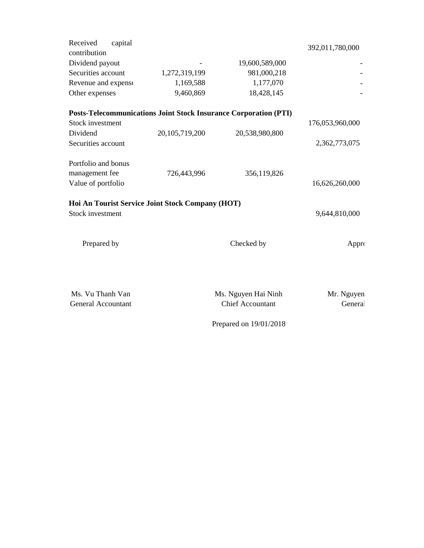| Received<br>capital<br>contribution              |                |                                                                         | 392,011,780,000 |
|--------------------------------------------------|----------------|-------------------------------------------------------------------------|-----------------|
| Dividend payout                                  |                | 19,600,589,000                                                          |                 |
| Securities account                               | 1,272,319,199  | 981,000,218                                                             |                 |
| Revenue and expense                              | 1,169,588      | 1,177,070                                                               |                 |
| Other expenses                                   | 9,460,869      | 18,428,145                                                              |                 |
|                                                  |                | <b>Posts-Telecommunications Joint Stock Insurance Corporation (PTI)</b> |                 |
| <b>Stock investment</b>                          |                |                                                                         | 176,053,960,000 |
| Dividend                                         | 20,105,719,200 | 20,538,980,800                                                          |                 |
| Securities account                               |                |                                                                         | 2,362,773,075   |
| Portfolio and bonus                              |                |                                                                         |                 |
| management fee                                   | 726,443,996    | 356,119,826                                                             |                 |
| Value of portfolio                               |                |                                                                         | 16,626,260,000  |
| Hoi An Tourist Service Joint Stock Company (HOT) |                |                                                                         |                 |
| <b>Stock investment</b>                          |                |                                                                         | 9,644,810,000   |
| Prepared by                                      |                | Checked by                                                              | Appro           |
|                                                  |                |                                                                         |                 |
| Ms. Vu Thanh Van                                 |                | Ms. Nguyen Hai Ninh                                                     | Mr. Nguyen      |
| <b>General Accountant</b>                        |                | <b>Chief Accountant</b>                                                 | General         |
|                                                  |                | Prepared on 19/01/2018                                                  |                 |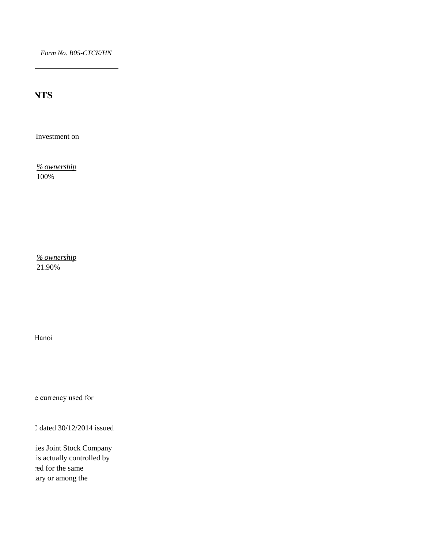*Form No. B05-CTCK/HN*

**NTS** 

Investment on

*% ownership* 100%

*% ownership* 21.90%

Hanoi

e currency used for

 $C$  dated 30/12/2014 issued

ies Joint Stock Company is actually controlled by ed for the same ary or among the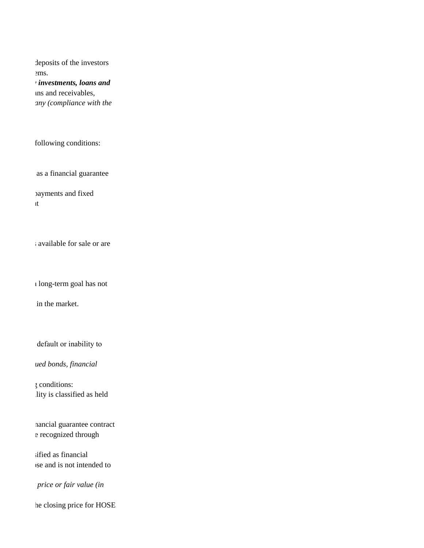ems. deposits of the investors

> *Principle and method of recognizing financial assets through profit and loss, held-to-maturity investments, loans and*  ans and receivables, *Principle of classifying financial assets and financial liabilities under the Portfolio of the Company (compliance with the*

following conditions:

as a financial guarantee

payments and fixed those that the Company upon initial recognition designates as at fair value in income statement

available for sale or are those non-

 $\iota$  long-term goal has not

in the market.

de fault or inability to

*Principle of classifying financial liabilities: (debts, financial assets debts, convertible bonds, issued bonds, financial* 

ility is classified as held Financial liabilities recognized through profit or loss is a financial debt meeting one of following conditions:

nancial guarantee contract e recognized through

sified as financial is and is not intended to

*Price or fair value (in price or fair value (in* 

he closing price for HOSE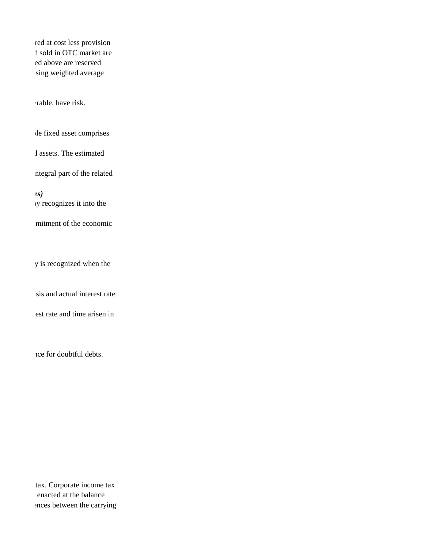ed above are reserved sing weighted average red at cost less provision 1 sold in OTC market are

erable, have risk.

le fixed asset comprises

1 assets. The estimated

ntegral part of the related

*Principle of recognizing long term financial investments (Subsidiaries, joint ventures, affiliates)* In recognizes it into the

mitment of the economic

y is recognized when the

Interest arisen from financial accounts of the Company is recognized on time-accrued interest basis and actual interest rate

est rate and time arisen in

nce for doubtful debts.

ences between the carrying tax. Corporate income tax. enacted at the balance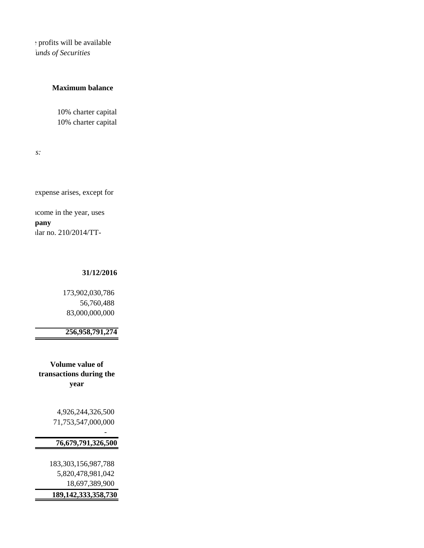: profits will be available *Principle of profit allocation of Securities Company: (for shareholders or capital contributors, funds of Securities* 

#### **Maximum balance**

10% charter capital 10% charter capital

*Principle and method of recognizing revenue and dividend accrual, interest from financial assets:*

expense arises, except for

tlar no. 210/2014/TTicome in the year, uses **Position of the Plancial angle of the List of Tanz** 

#### **31/12/2016**

## 173,902,030,786 56,760,488 83,000,000,000

## **256,958,791,274**

**Volume value of transactions during the year**

- 1990 - 1990 - 1990 - 1990 - 1991 - 1992

 4,926,244,326,500 71,753,547,000,000

## **76,679,791,326,500**

 183,303,156,987,788 5,820,478,981,042 18,697,389,900  **189,142,333,358,730**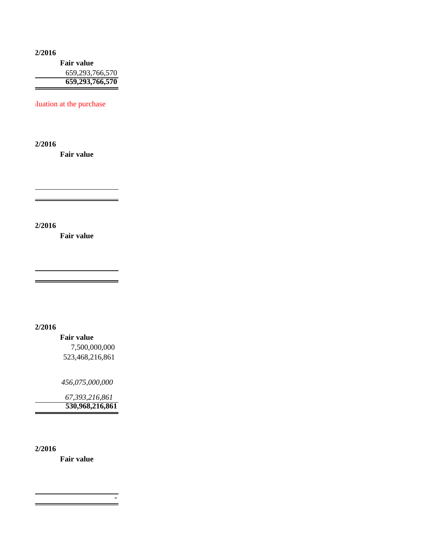**Fair value** 659,293,766,570 **659,293,766,570 31/12/2016**

duation at the purchase

**31/12/2016**

**Fair value**

**31/12/2016**

**Fair value**

 $\overline{a}$ 

**31/12/2016**

**Fair value** 7,500,000,000 523,468,216,861

 *456,075,000,000* 

 *67,393,216,861*  **530,968,216,861**

**31/12/2016**

**Fair value**

 *-*   $\frac{1}{2}$  **-**  $\frac{1}{2}$  **-**  $\frac{1}{2}$  **-**  $\frac{1}{2}$  **-**  $\frac{1}{2}$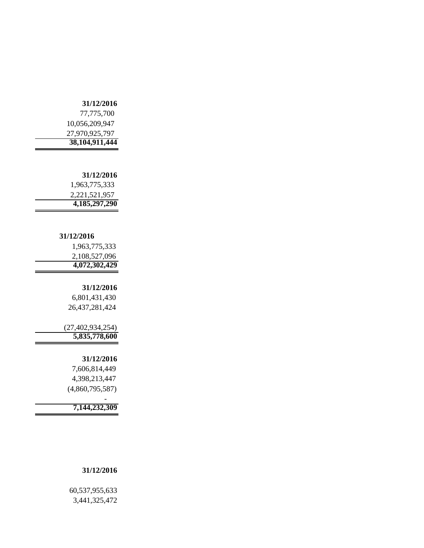#### **31/12/2016**

| 38, 104, 911, 444 |
|-------------------|
| 27,970,925,797    |
| 10,056,209,947    |
| 77,775,700        |

#### **31/12/2016**

 1,963,775,333 2,221,521,957  **4,185,297,290** 

#### **31/12/2016**

| 4,072,302,429 |
|---------------|
| 2,108,527,096 |
| 1,963,775,333 |

#### **31/12/2016**

۰

 6,801,431,430 26,437,281,424

 (27,402,934,254) **5,835,778,600**

#### **31/12/2016**

 7,606,814,449 4,398,213,447 (4,860,795,587)

- 1990 - 1990 - 1990 - 1990 - 1991 - 1992

**7,144,232,309**

#### **31/12/2016**

 60,537,955,633 3,441,325,472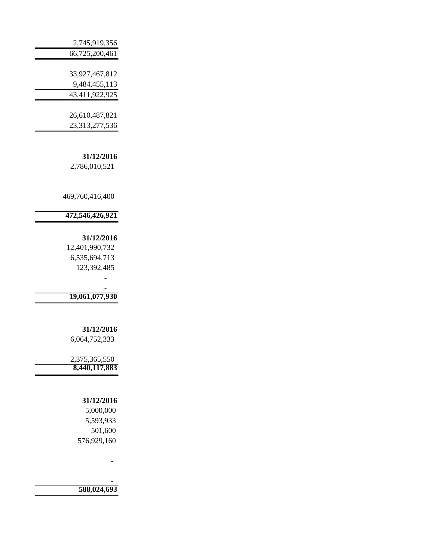| 2,745,919,356  |
|----------------|
| 66,725,200,461 |
|                |
| 33,927,467,812 |
| 9,484,455,113  |
| 43,411,922,925 |
|                |

 26,610,487,821 23,313,277,536

**31/12/2016** 2,786,010,521

469,760,416,400

## **472,546,426,921**

#### **31/12/2016**

 12,401,990,732 6,535,694,713 123,392,485

- 1990 - 1990 - 1990 - 1990 - 1991 - 1992  **19,061,077,930** 

- 1990 - 1990 - 1990 - 1991 - 1992<br>1992 - 1992 - 1992 - 1992 - 1992 - 1992 - 1992 - 1992 - 1992 - 1992 - 1992 - 1992 - 1992 - 1992 - 1992 - 1992

#### **31/12/2016** 6,064,752,333

 2,375,365,550  **8,440,117,883** 

#### **31/12/2016**

 5,000,000 5,593,933 501,600 576,929,160

**- All Controls of the State 588,024,693**

**- All and All and All and All and All**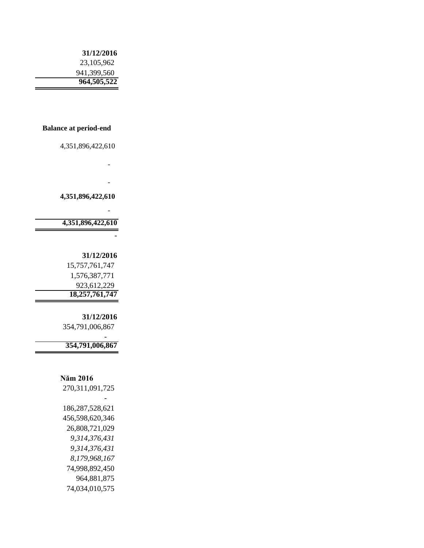### **31/12/2016** 23,105,962 941,399,560 **964,505,522**

#### **Balance at period-end**

**- All and All and All and All and All** 

**- All and All and All and All and All** 

4,351,896,422,610

**- All and All and All and All and All** 

 **4,351,896,422,610** 

**4,351,896,422,610**

#### **31/12/2016**

-

 15,757,761,747 1,576,387,771 923,612,229 **18,257,761,747**

**31/12/2016** 354,791,006,867

**354,791,006,867**

#### **Năm 2016**

- 1990 - 1990 - 1990 - 1990 - 1991 - 1992

 270,311,091,725 - 1990 - 1990 - 1990 - 1991 - 1992<br>1992 - 1992 - 1992 - 1992 - 1992 - 1992 - 1992 - 1992 - 1992 - 1992 - 1992 - 1992 - 1992 - 1992 - 1992 - 1992 186,287,528,621 456,598,620,346 26,808,721,029  *9,314,376,431 9,314,376,431 8,179,968,167* 74,998,892,450 964,881,875 74,034,010,575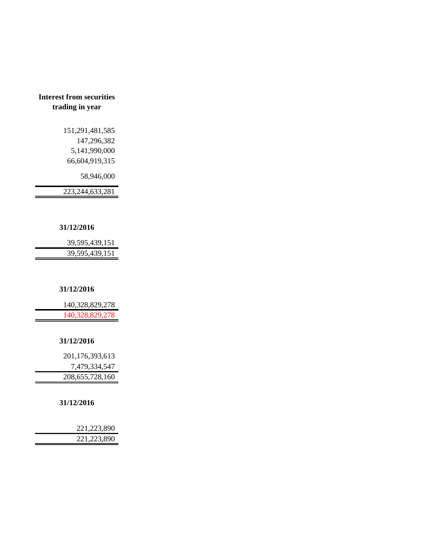## **Interest from securities trading in year**

 151,291,481,585 147,296,382 5,141,990,000 66,604,919,315

58,946,000

223,244,633,281

### **31/12/2016**

| 39,595,439,151 |
|----------------|
| 39,595,439,151 |

#### **31/12/2016**

| 140,328,829,278 |
|-----------------|
| 140,328,829,278 |

#### **31/12/2016**

| 201,176,393,613    |
|--------------------|
| 7,479,334,547      |
| 208, 655, 728, 160 |

#### **31/12/2016**

| 221,223,890 |
|-------------|
| 221,223,890 |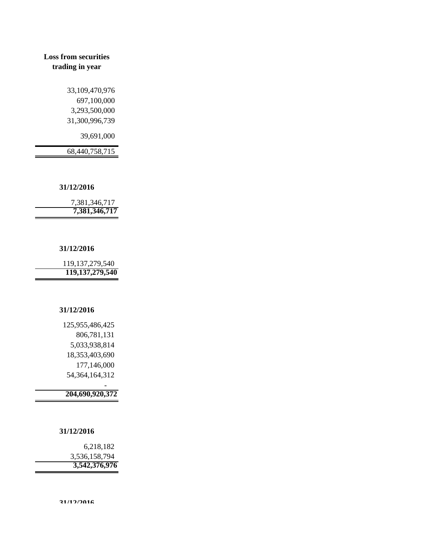## **Loss from securities trading in year**

 33,109,470,976 697,100,000 3,293,500,000 31,300,996,739

39,691,000

68,440,758,715

#### **31/12/2016**

 7,381,346,717  **7,381,346,717** 

#### **31/12/2016**

 119,137,279,540 **119,137,279,540**

#### **31/12/2016**

 125,955,486,425 806,781,131 5,033,938,814 18,353,403,690 177,146,000 54,364,164,312

 **204,690,920,372** 

#### **31/12/2016**

- 1990 - 1990 - 1990 - 1991 - 1992<br>1992 - 1992 - 1992 - 1992 - 1992 - 1992 - 1992 - 1992 - 1992 - 1992 - 1992 - 1992 - 1992 - 1992 - 1992 - 1992

 6,218,182 3,536,158,794  **3,542,376,976**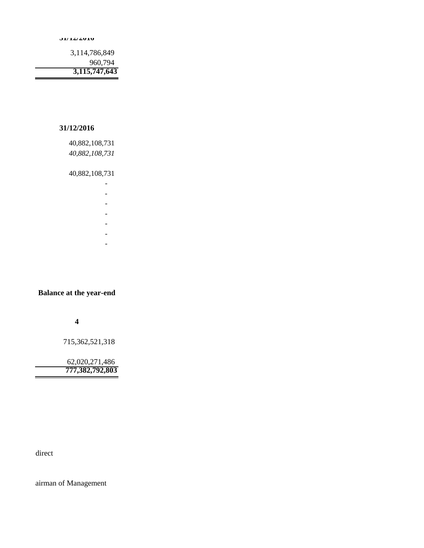**31/12/2016**

 3,114,786,849 960,794  **3,115,747,643** 

#### **31/12/2016**

 40,882,108,731  *40,882,108,731*

40,882,108,731

- 1990 - 1990 - 1990 - 1990 - 1991 - 1992 - 1993 - 1994 - 1994 - 1994 - 1994 - 1994 - 1994 - 1994 - 1994 - 199

 *-*

- 1990 - 1990 - 1990 - 1990 - 1991 - 1992 - 1992 - 1992 - 1992 - 1992 - 1992 - 1992 - 1992 - 1992 - 1992 - 199

- 1990 - 1990 - 1990 - 1990 - 1991 - 1992 - 1992 - 1992 - 1992 - 1992 - 1992 - 1992 - 1992 - 1992 - 1992 - 199

- 1990 - 1990 - 1990 - 1990 - 1991 - 1992 - 1992 - 1992 - 1992 - 1992 - 1992 - 1992 - 1992 - 1992 - 1992 - 199

- 1990 - 1990 - 1990 - 1990 - 1991 - 1992 - 1992 - 1992 - 1992 - 1992 - 1992 - 1992 - 1992 - 1992 - 1992 - 199

**Balance at the year-end**

- 1990 - 1990 - 1990 - 1990 - 1991 - 1992 - 1992 - 1992 - 1992 - 1992 - 1992 - 1992 - 1992 - 1992 - 1992 - 199

**4**

715,362,521,318

 62,020,271,486  **777,382,792,803** 

direct

airman of Management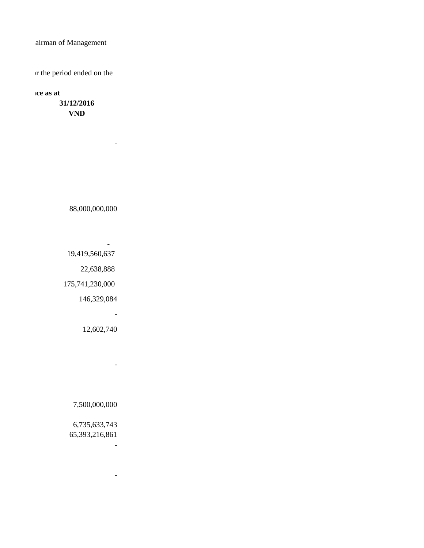airman of Management

or the period ended on the

**Balance as at** 

**31/12/2016 VND**

88,000,000,000

 $\sim$ 

**- All Angeles Angeles Angel** 19,419,560,637

22,638,888

175,741,230,000

**- All Controls of the State** 

146,329,084

12,602,740

-

7,500,000,000

 6,735,633,743 65,393,216,861

**- All Street Advised Association** 

**- All Street Advised Association**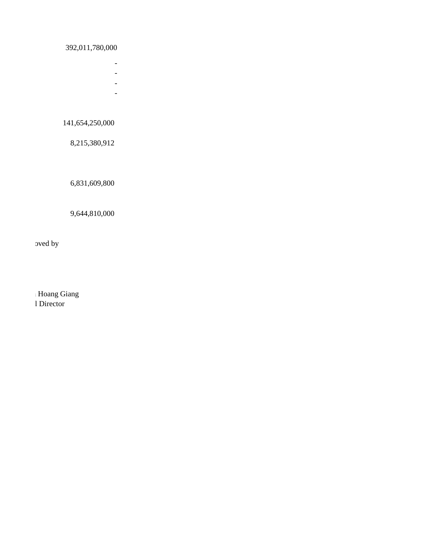## 392,011,780,000

- **All Street Advised Association**
- **All Street Advised Association**
- **All Street Advised Association**
- **All Controls of the State**

# 141,654,250,000

8,215,380,912

6,831,609,800

### 9,644,810,000

oved by

l Director Hoang Giang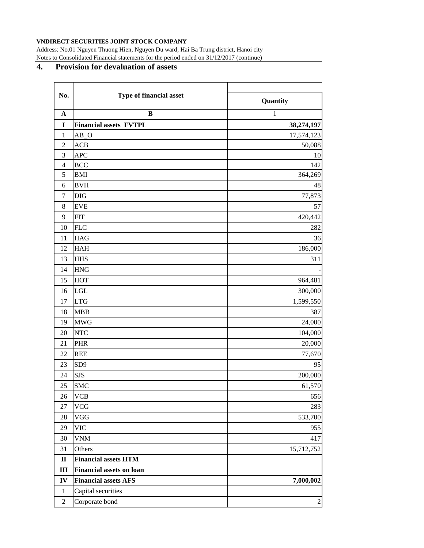#### **VNDIRECT SECURITIES JOINT STOCK COMPANY**

Address: No.01 Nguyen Thuong Hien, Nguyen Du ward, Hai Ba Trung district, Hanoi city Notes to Consolidated Financial statements for the period ended on 31/12/2017 (continue)

## **4. Provision for devaluation of assets**

| No.            | Type of financial asset         |                |  |
|----------------|---------------------------------|----------------|--|
|                |                                 | Quantity       |  |
| $\mathbf A$    | $\bf{B}$                        | $\mathbf{1}$   |  |
| $\mathbf I$    | <b>Financial assets FVTPL</b>   | 38,274,197     |  |
| $\mathbf{1}$   | $AB_0$                          | 17,574,123     |  |
| $\sqrt{2}$     | <b>ACB</b>                      | 50,088         |  |
| 3              | <b>APC</b>                      | 10             |  |
| $\overline{4}$ | <b>BCC</b>                      | 142            |  |
| 5              | <b>BMI</b>                      | 364,269        |  |
| 6              | <b>BVH</b>                      | 48             |  |
| $\tau$         | <b>DIG</b>                      | 77,873         |  |
| 8              | <b>EVE</b>                      | 57             |  |
| 9              | <b>FIT</b>                      | 420,442        |  |
| 10             | <b>FLC</b>                      | 282            |  |
| 11             | <b>HAG</b>                      | 36             |  |
| 12             | <b>HAH</b>                      | 186,000        |  |
| 13             | <b>HHS</b>                      | 311            |  |
| 14             | <b>HNG</b>                      |                |  |
| 15             | <b>HOT</b>                      | 964,481        |  |
| 16             | LGL                             | 300,000        |  |
| 17             | <b>LTG</b>                      | 1,599,550      |  |
| 18             | <b>MBB</b>                      | 387            |  |
| 19             | <b>MWG</b>                      | 24,000         |  |
| 20             | <b>NTC</b>                      | 104,000        |  |
| 21             | <b>PHR</b>                      | 20,000         |  |
| 22             | <b>REE</b>                      | 77,670         |  |
| 23             | SD <sub>9</sub>                 | 95             |  |
| 24             | <b>SJS</b>                      | 200,000        |  |
| 25             | <b>SMC</b>                      | 61,570         |  |
| 26             | <b>VCB</b>                      | 656            |  |
| 27             | <b>VCG</b>                      | 283            |  |
| $28\,$         | <b>VGG</b>                      | 533,700        |  |
| 29             | <b>VIC</b>                      | 955            |  |
| 30             | <b>VNM</b>                      | 417            |  |
| 31             | Others                          | 15,712,752     |  |
| $\mathbf{I}$   | <b>Financial assets HTM</b>     |                |  |
| $\mathbf{III}$ | <b>Financial assets on loan</b> |                |  |
| IV             | <b>Financial assets AFS</b>     | 7,000,002      |  |
| $\mathbf{1}$   | Capital securities              |                |  |
| $\overline{c}$ | Corporate bond                  | $\overline{c}$ |  |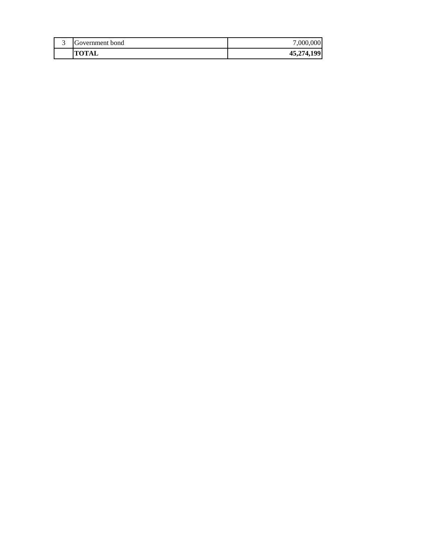| Government bond | ,000,000   |
|-----------------|------------|
| <b>TOTAL</b>    | 45,274,199 |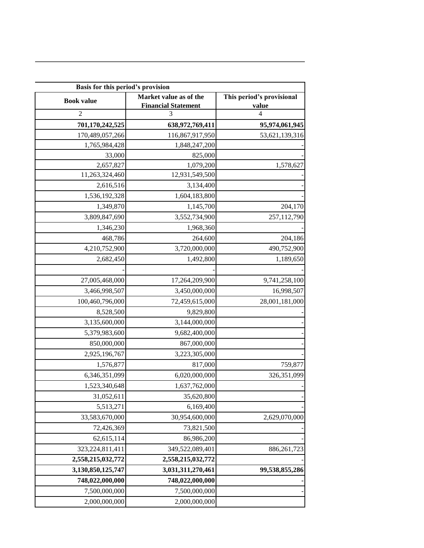| Basis for this period's provision |                                                      |                                    |  |
|-----------------------------------|------------------------------------------------------|------------------------------------|--|
| <b>Book value</b>                 | Market value as of the<br><b>Financial Statement</b> | This period's provisional<br>value |  |
| $\overline{2}$                    | 3                                                    | 4                                  |  |
| 701,170,242,525                   | 638,972,769,411                                      | 95,974,061,945                     |  |
| 170,489,057,266                   | 116,867,917,950                                      | 53,621,139,316                     |  |
| 1,765,984,428                     | 1,848,247,200                                        |                                    |  |
| 33,000                            | 825,000                                              |                                    |  |
| 2,657,827                         | 1,079,200                                            | 1,578,627                          |  |
| 11,263,324,460                    | 12,931,549,500                                       |                                    |  |
| 2,616,516                         | 3,134,400                                            |                                    |  |
| 1,536,192,328                     | 1,604,183,800                                        |                                    |  |
| 1,349,870                         | 1,145,700                                            | 204,170                            |  |
| 3,809,847,690                     | 3,552,734,900                                        | 257,112,790                        |  |
| 1,346,230                         | 1,968,360                                            |                                    |  |
| 468,786                           | 264,600                                              | 204,186                            |  |
| 4,210,752,900                     | 3,720,000,000                                        | 490,752,900                        |  |
| 2,682,450                         | 1,492,800                                            | 1,189,650                          |  |
|                                   |                                                      |                                    |  |
| 27,005,468,000                    | 17,264,209,900                                       | 9,741,258,100                      |  |
| 3,466,998,507                     | 3,450,000,000                                        | 16,998,507                         |  |
| 100,460,796,000                   | 72,459,615,000                                       | 28,001,181,000                     |  |
| 8,528,500                         | 9,829,800                                            |                                    |  |
| 3,135,600,000                     | 3,144,000,000                                        |                                    |  |
| 5,379,983,600                     | 9,682,400,000                                        |                                    |  |
| 850,000,000                       | 867,000,000                                          |                                    |  |
| 2,925,196,767                     | 3,223,305,000                                        |                                    |  |
| 1,576,877                         | 817,000                                              | 759,877                            |  |
| 6,346,351,099                     | 6,020,000,000                                        | 326, 351, 099                      |  |
| 1,523,340,648                     | 1,637,762,000                                        |                                    |  |
| 31,052,611                        | 35,620,800                                           |                                    |  |
| 5,513,271                         | 6,169,400                                            |                                    |  |
| 33,583,670,000                    | 30,954,600,000                                       | 2,629,070,000                      |  |
| 72,426,369                        | 73,821,500                                           |                                    |  |
| 62,615,114                        | 86,986,200                                           |                                    |  |
| 323, 224, 811, 411                | 349,522,089,401                                      | 886,261,723                        |  |
| 2,558,215,032,772                 | 2,558,215,032,772                                    |                                    |  |
| 3,130,850,125,747                 | 3,031,311,270,461                                    | 99,538,855,286                     |  |
| 748,022,000,000                   | 748,022,000,000                                      |                                    |  |
| 7,500,000,000                     | 7,500,000,000                                        |                                    |  |
| 2,000,000,000                     | 2,000,000,000                                        |                                    |  |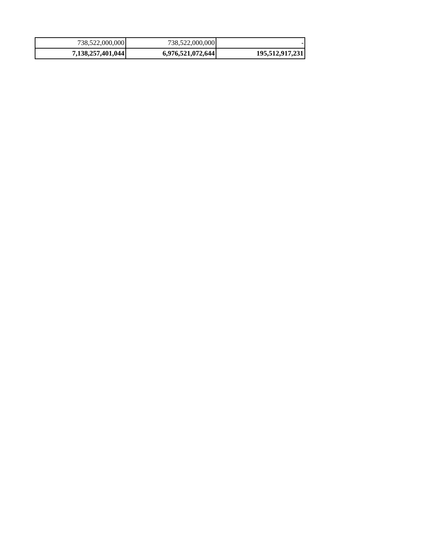| 738,522,000,000   | 738,522,000,000   |                 |
|-------------------|-------------------|-----------------|
| 7,138,257,401,044 | 6,976,521,072,644 | 195,512,917,231 |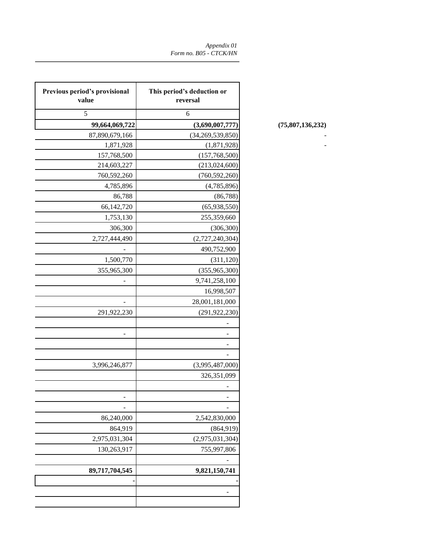| Previous period's provisional<br>value | This period's deduction or<br>reversal |                  |
|----------------------------------------|----------------------------------------|------------------|
| $\sqrt{5}$                             | 6                                      |                  |
| 99,664,069,722                         | (3,690,007,777)                        | (75,807,136,232) |
| 87,890,679,166                         | (34, 269, 539, 850)                    |                  |
| 1,871,928                              | (1,871,928)                            |                  |
| 157,768,500                            | (157,768,500)                          |                  |
| 214,603,227                            | (213, 024, 600)                        |                  |
| 760,592,260                            | (760, 592, 260)                        |                  |
| 4,785,896                              | (4,785,896)                            |                  |
| 86,788                                 | (86, 788)                              |                  |
| 66,142,720                             | (65,938,550)                           |                  |
| 1,753,130                              | 255,359,660                            |                  |
| 306,300                                | (306, 300)                             |                  |
| 2,727,444,490                          | (2,727,240,304)                        |                  |
|                                        | 490,752,900                            |                  |
| 1,500,770                              | (311, 120)                             |                  |
| 355,965,300                            | (355, 965, 300)                        |                  |
|                                        | 9,741,258,100                          |                  |
|                                        | 16,998,507                             |                  |
|                                        | 28,001,181,000                         |                  |
| 291,922,230                            | (291, 922, 230)                        |                  |
|                                        |                                        |                  |
|                                        | ۳                                      |                  |
|                                        |                                        |                  |
|                                        | $\overline{\phantom{a}}$               |                  |
| 3,996,246,877                          | (3,995,487,000)                        |                  |
|                                        | 326, 351, 099                          |                  |
|                                        | $\blacksquare$                         |                  |
| $\overline{\phantom{a}}$               | -                                      |                  |
|                                        |                                        |                  |
| 86,240,000                             | 2,542,830,000                          |                  |
| 864,919                                | (864, 919)                             |                  |
| 2,975,031,304                          | (2,975,031,304)                        |                  |
| 130,263,917                            | 755,997,806                            |                  |
|                                        |                                        |                  |
| 89,717,704,545                         | 9,821,150,741                          |                  |
|                                        |                                        |                  |
|                                        |                                        |                  |
|                                        |                                        |                  |

### **99,664,069,722 (3,690,007,777) (75,807,136,232)**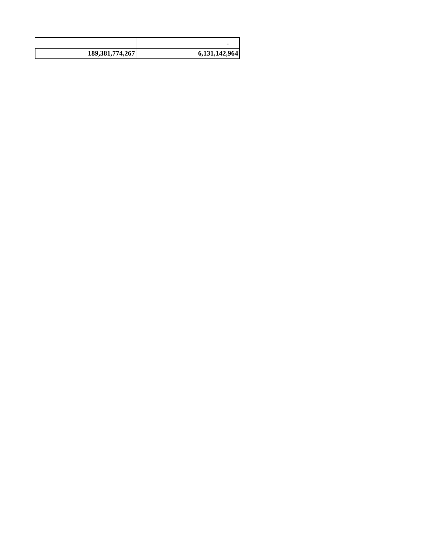|                    | -             |
|--------------------|---------------|
| 189, 381, 774, 267 | 6,131,142,964 |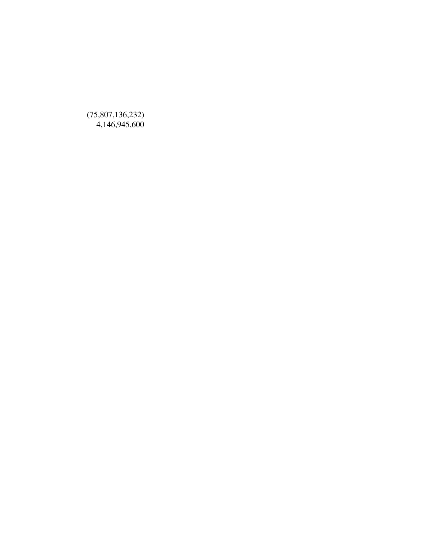(75,807,136,232) 4,146,945,600